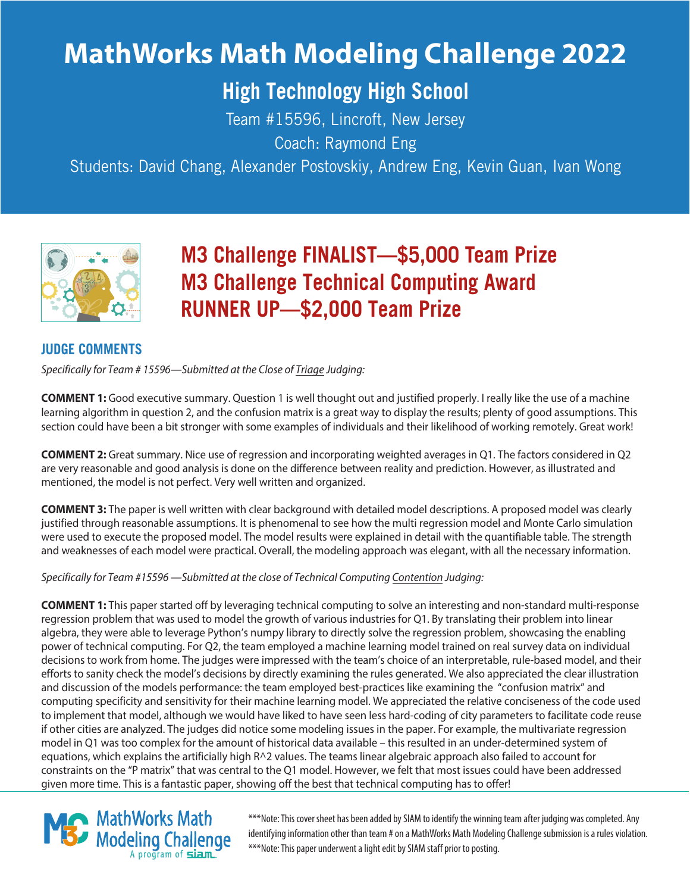# **MathWorks Math Modeling Challenge 2022**

# **High Technology High School**

Team #15596, Lincroft, New Jersey Coach: Raymond Eng

Students: David Chang, Alexander Postovskiy, Andrew Eng, Kevin Guan, Ivan Wong



# **M3 Challenge FINALIST—\$5,000 Team Prize M3 Challenge Technical Computing Award RUNNER UP—\$2,OOO Team Prize**

# **JUDGE COMMENTS**

Specifically for Team # 15596—Submitted at the Close of Triage Judging:

**COMMENT 1:** Good executive summary. Question 1 is well thought out and justified properly. I really like the use of a machine learning algorithm in question 2, and the confusion matrix is a great way to display the results; plenty of good assumptions. This section could have been a bit stronger with some examples of individuals and their likelihood of working remotely. Great work!

**COMMENT 2:** Great summary. Nice use of regression and incorporating weighted averages in Q1. The factors considered in Q2 are very reasonable and good analysis is done on the difference between reality and prediction. However, as illustrated and mentioned, the model is not perfect. Very well written and organized.

**COMMENT 3:** The paper is well written with clear background with detailed model descriptions. A proposed model was clearly justified through reasonable assumptions. It is phenomenal to see how the multi regression model and Monte Carlo simulation were used to execute the proposed model. The model results were explained in detail with the quantifiable table. The strength and weaknesses of each model were practical. Overall, the modeling approach was elegant, with all the necessary information.

Specifically for Team #15596 —Submitted at the close of Technical Computing Contention Judging:

**COMMENT 1:** This paper started off by leveraging technical computing to solve an interesting and non-standard multi-response regression problem that was used to model the growth of various industries for Q1. By translating their problem into linear algebra, they were able to leverage Python's numpy library to directly solve the regression problem, showcasing the enabling power of technical computing. For Q2, the team employed a machine learning model trained on real survey data on individual decisions to work from home. The judges were impressed with the team's choice of an interpretable, rule-based model, and their efforts to sanity check the model's decisions by directly examining the rules generated. We also appreciated the clear illustration and discussion of the models performance: the team employed best-practices like examining the "confusion matrix" and computing specificity and sensitivity for their machine learning model. We appreciated the relative conciseness of the code used to implement that model, although we would have liked to have seen less hard-coding of city parameters to facilitate code reuse if other cities are analyzed. The judges did notice some modeling issues in the paper. For example, the multivariate regression model in Q1 was too complex for the amount of historical data available – this resulted in an under-determined system of equations, which explains the artificially high R^2 values. The teams linear algebraic approach also failed to account for constraints on the "P matrix" that was central to the Q1 model. However, we felt that most issues could have been addressed given more time. This is a fantastic paper, showing off the best that technical computing has to offer!



\*\*\*Note: This cover sheet has been added by SIAM to identify the winning team after judging was completed. Any identifying information other than team # on a MathWorks Math Modeling Challenge submission is a rules violation. \*\*\*Note: This paper underwent a light edit by SIAM staff prior to posting.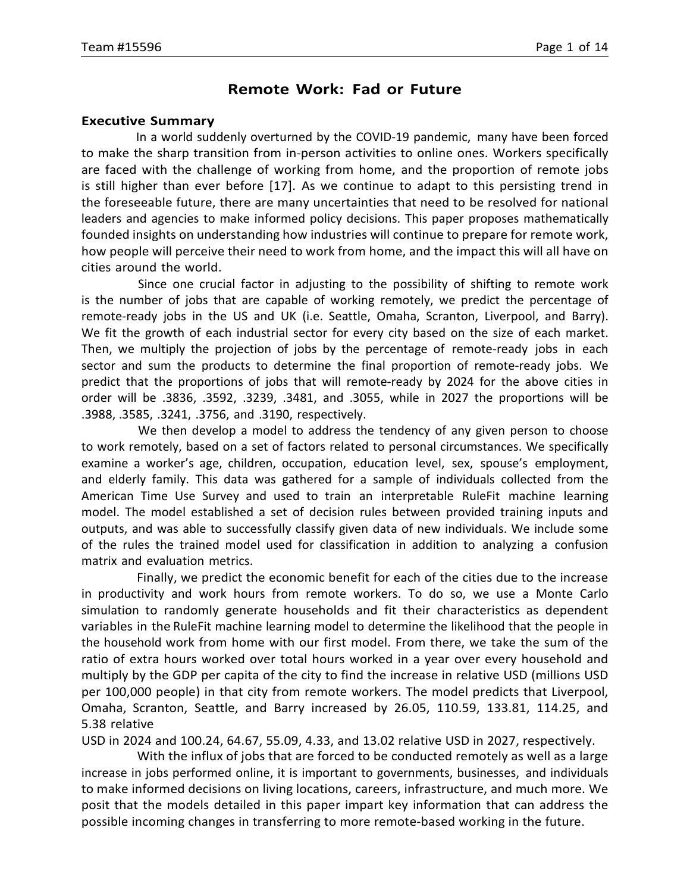### **Remote Work: Fad or Future**

#### **Executive Summary**

In a world suddenly overturned by the COVID-19 pandemic, many have been forced to make the sharp transition from in-person activities to online ones. Workers specifically are faced with the challenge of working from home, and the proportion of remote jobs is still higher than ever before [17]. As we continue to adapt to this persisting trend in the foreseeable future, there are many uncertainties that need to be resolved for national leaders and agencies to make informed policy decisions. This paper proposes mathematically founded insights on understanding how industries will continue to prepare for remote work, how people will perceive their need to work from home, and the impact this will all have on cities around the world.

Since one crucial factor in adjusting to the possibility of shifting to remote work is the number of jobs that are capable of working remotely, we predict the percentage of remote-ready jobs in the US and UK (i.e. Seattle, Omaha, Scranton, Liverpool, and Barry). We fit the growth of each industrial sector for every city based on the size of each market. Then, we multiply the projection of jobs by the percentage of remote-ready jobs in each sector and sum the products to determine the final proportion of remote-ready jobs. We predict that the proportions of jobs that will remote-ready by 2024 for the above cities in order will be .3836, .3592, .3239, .3481, and .3055, while in 2027 the proportions will be .3988, .3585, .3241, .3756, and .3190, respectively.

We then develop a model to address the tendency of any given person to choose to work remotely, based on a set of factors related to personal circumstances. We specifically examine a worker's age, children, occupation, education level, sex, spouse's employment, and elderly family. This data was gathered for a sample of individuals collected from the American Time Use Survey and used to train an interpretable RuleFit machine learning model. The model established a set of decision rules between provided training inputs and outputs, and was able to successfully classify given data of new individuals. We include some of the rules the trained model used for classification in addition to analyzing a confusion matrix and evaluation metrics.

Finally, we predict the economic benefit for each of the cities due to the increase in productivity and work hours from remote workers. To do so, we use a Monte Carlo simulation to randomly generate households and fit their characteristics as dependent variables in the RuleFit machine learning model to determine the likelihood that the people in the household work from home with our first model. From there, we take the sum of the ratio of extra hours worked over total hours worked in a year over every household and multiply by the GDP per capita of the city to find the increase in relative USD (millions USD per 100,000 people) in that city from remote workers. The model predicts that Liverpool, Omaha, Scranton, Seattle, and Barry increased by 26.05, 110.59, 133.81, 114.25, and 5.38 relative

USD in 2024 and 100.24, 64.67, 55.09, 4.33, and 13.02 relative USD in 2027, respectively.

With the influx of jobs that are forced to be conducted remotely as well as a large increase in jobs performed online, it is important to governments, businesses, and individuals to make informed decisions on living locations, careers, infrastructure, and much more. We posit that the models detailed in this paper impart key information that can address the possible incoming changes in transferring to more remote-based working in the future.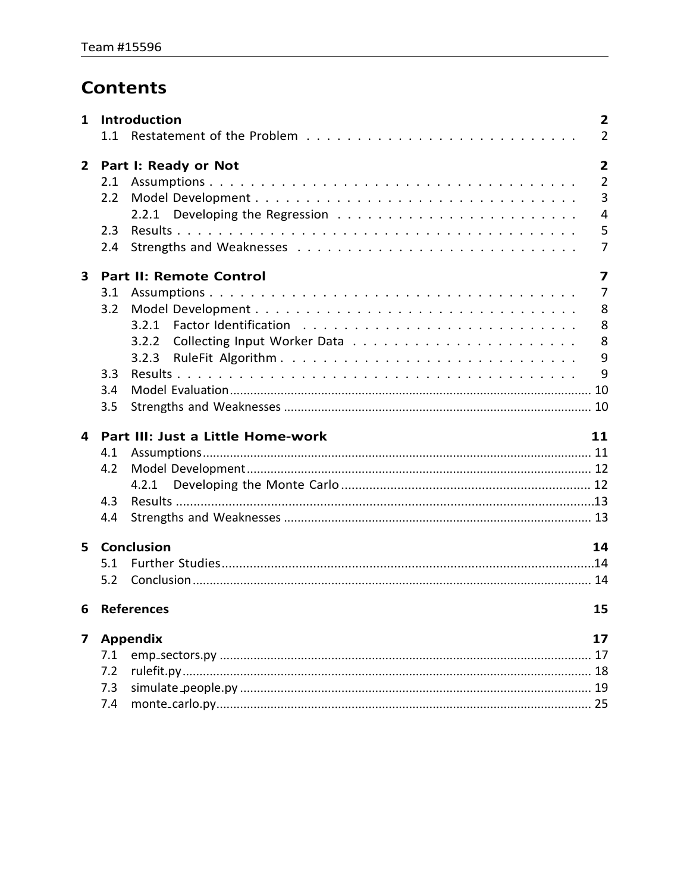# **Contents**

| $\mathbf{1}$            |     | Introduction<br>$\mathbf{2}$                              |  |
|-------------------------|-----|-----------------------------------------------------------|--|
|                         | 1.1 | $\overline{2}$                                            |  |
| $\mathbf{2}$            |     | $\overline{2}$<br>Part I: Ready or Not                    |  |
|                         | 2.1 | $\overline{2}$                                            |  |
|                         | 2.2 | 3                                                         |  |
|                         |     | $\overline{4}$                                            |  |
|                         | 2.3 | 5                                                         |  |
|                         | 2.4 | $\overline{7}$                                            |  |
| $\overline{\mathbf{3}}$ |     | <b>Part II: Remote Control</b><br>$\overline{\mathbf{z}}$ |  |
|                         | 3.1 | $\overline{7}$                                            |  |
|                         | 3.2 | 8                                                         |  |
|                         |     | 8<br>3.2.1                                                |  |
|                         |     | 8<br>3.2.2                                                |  |
|                         |     | 9<br>3.2.3                                                |  |
|                         | 3.3 | 9                                                         |  |
|                         | 3.4 |                                                           |  |
|                         | 3.5 |                                                           |  |
| 4                       |     | Part III: Just a Little Home-work<br>11                   |  |
|                         | 4.1 |                                                           |  |
|                         | 4.2 |                                                           |  |
|                         |     | 4.2.1                                                     |  |
|                         | 4.3 |                                                           |  |
|                         | 4.4 |                                                           |  |
| 5                       |     | <b>Conclusion</b><br>14                                   |  |
|                         | 5.1 |                                                           |  |
|                         | 5.2 |                                                           |  |
| 6                       |     | <b>References</b><br>15                                   |  |
| 7                       |     | <b>Appendix</b><br>17                                     |  |
|                         | 7.1 | 17                                                        |  |
|                         |     |                                                           |  |
|                         | 7.2 |                                                           |  |
|                         | 7.3 |                                                           |  |
|                         |     |                                                           |  |
|                         |     |                                                           |  |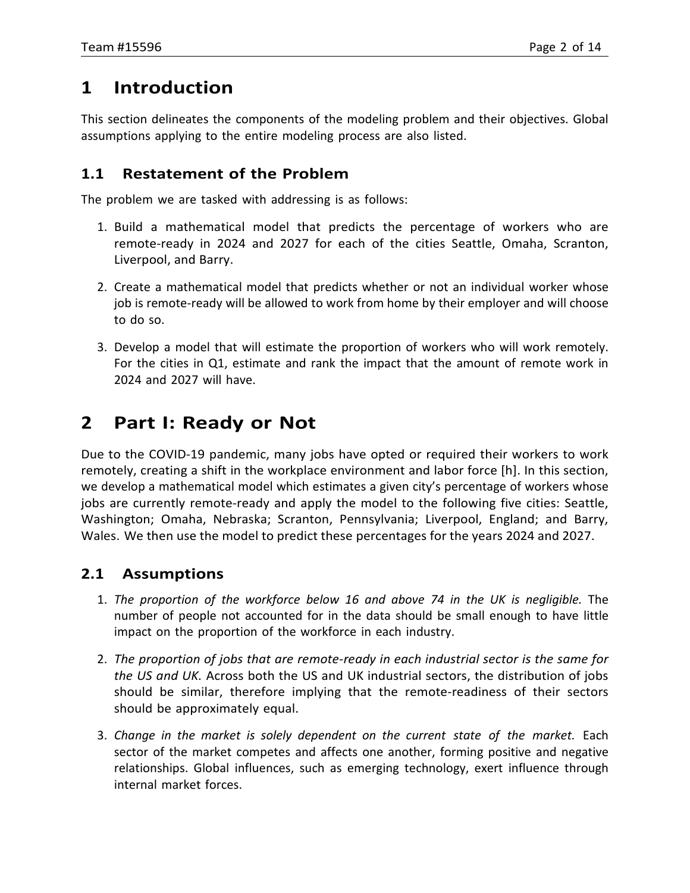# <span id="page-3-0"></span>**1 Introduction**

This section delineates the components of the modeling problem and their objectives. Global assumptions applying to the entire modeling process are also listed.

# <span id="page-3-1"></span>**1.1 Restatement of the Problem**

The problem we are tasked with addressing is as follows:

- 1. Build a mathematical model that predicts the percentage of workers who are remote-ready in 2024 and 2027 for each of the cities Seattle, Omaha, Scranton, Liverpool, and Barry.
- 2. Create a mathematical model that predicts whether or not an individual worker whose job is remote-ready will be allowed to work from home by their employer and will choose to do so.
- 3. Develop a model that will estimate the proportion of workers who will work remotely. For the cities in Q1, estimate and rank the impact that the amount of remote work in 2024 and 2027 will have.

# <span id="page-3-2"></span>**2 Part I: Ready or Not**

Due to the COVID-19 pandemic, many jobs have opted or required their workers to work remotely, creating a shift in the workplace environment and labor force [h]. In this section, we develop a mathematical model which estimates a given city's percentage of workers whose jobs are currently remote-ready and apply the model to the following five cities: Seattle, Washington; Omaha, Nebraska; Scranton, Pennsylvania; Liverpool, England; and Barry, Wales. We then use the model to predict these percentages for the years 2024 and 2027.

# <span id="page-3-3"></span>**2.1 Assumptions**

- 1. *The proportion of the workforce below 16 and above 74 in the UK is negligible.* The number of people not accounted for in the data should be small enough to have little impact on the proportion of the workforce in each industry.
- 2. *The proportion of jobs that are remote-ready in each industrial sector is the same for the US and UK.* Across both the US and UK industrial sectors, the distribution of jobs should be similar, therefore implying that the remote-readiness of their sectors should be approximately equal.
- 3. *Change in the market is solely dependent on the current state of the market.* Each sector of the market competes and affects one another, forming positive and negative relationships. Global influences, such as emerging technology, exert influence through internal market forces.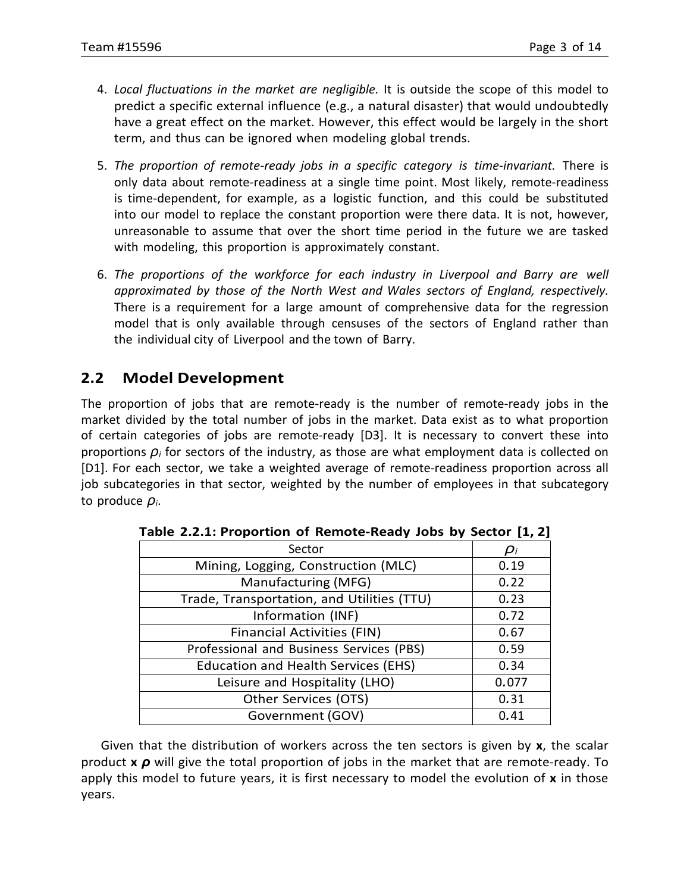- 4. *Local fluctuations in the market are negligible.* It is outside the scope of this model to predict a specific external influence (e.g., a natural disaster) that would undoubtedly have a great effect on the market. However, this effect would be largely in the short term, and thus can be ignored when modeling global trends.
- 5. *The proportion of remote-ready jobs in a specific category is time-invariant.* There is only data about remote-readiness at a single time point. Most likely, remote-readiness is time-dependent, for example, as a logistic function, and this could be substituted into our model to replace the constant proportion were there data. It is not, however, unreasonable to assume that over the short time period in the future we are tasked with modeling, this proportion is approximately constant.
- 6. *The proportions of the workforce for each industry in Liverpool and Barry are well approximated by those of the North West and Wales sectors of England, respectively.* There is a requirement for a large amount of comprehensive data for the regression model that is only available through censuses of the sectors of England rather than the individual city of Liverpool and the town of Barry.

# <span id="page-4-0"></span>**2.2 Model Development**

The proportion of jobs that are remote-ready is the number of remote-ready jobs in the market divided by the total number of jobs in the market. Data exist as to what proportion of certain categories of jobs are remote-ready [D3]. It is necessary to convert these into proportions *ρ<sup>i</sup>* for sectors of the industry, as those are what employment data is collected on [D1]. For each sector, we take a weighted average of remote-readiness proportion across all job subcategories in that sector, weighted by the number of employees in that subcategory to produce *ρi*.

| Sector                                     | $\boldsymbol{\rho}_i$ |
|--------------------------------------------|-----------------------|
| Mining, Logging, Construction (MLC)        | 0.19                  |
| Manufacturing (MFG)                        | 0.22                  |
| Trade, Transportation, and Utilities (TTU) | 0.23                  |
| Information (INF)                          | 0.72                  |
| <b>Financial Activities (FIN)</b>          | 0.67                  |
| Professional and Business Services (PBS)   | 0.59                  |
| <b>Education and Health Services (EHS)</b> | 0.34                  |
| Leisure and Hospitality (LHO)              | 0.077                 |
| Other Services (OTS)                       | 0.31                  |
| Government (GOV)                           | 0.41                  |

| Table 2.2.1: Proportion of Remote-Ready Jobs by Sector [1, 2] |  |  |  |  |
|---------------------------------------------------------------|--|--|--|--|
|---------------------------------------------------------------|--|--|--|--|

*·* product **x** *ρ* will give the total proportion of jobs in the market that are remote-ready. To Given that the distribution of workers across the ten sectors is given by **x**, the scalar apply this model to future years, it is first necessary to model the evolution of **x** in those years.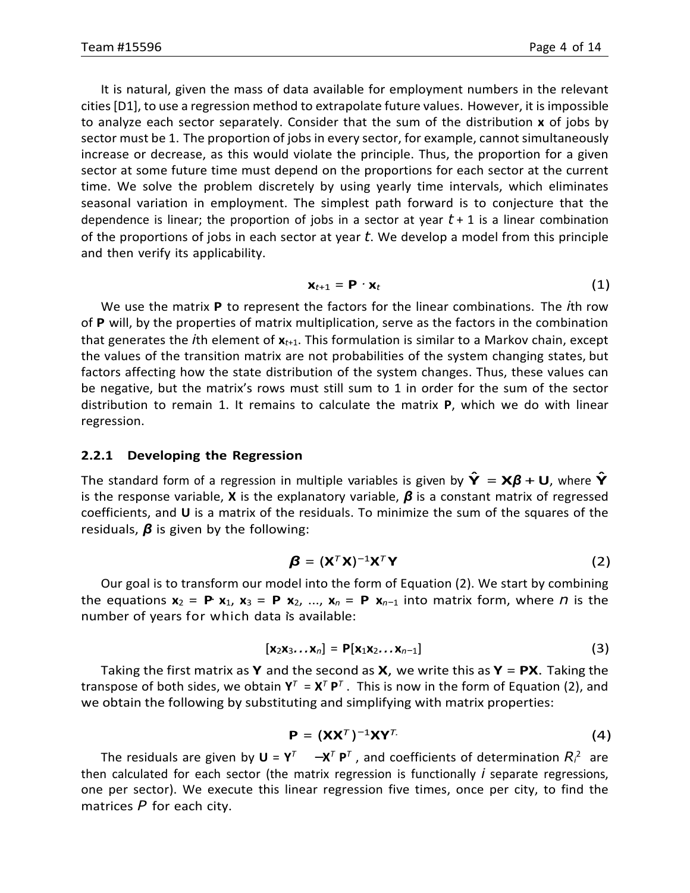It is natural, given the mass of data available for employment numbers in the relevant cities[D1], to use a regression method to extrapolate future values. However, it is impossible to analyze each sector separately. Consider that the sum of the distribution **x** of jobs by sector must be 1. The proportion of jobs in every sector, for example, cannot simultaneously increase or decrease, as this would violate the principle. Thus, the proportion for a given sector at some future time must depend on the proportions for each sector at the current time. We solve the problem discretely by using yearly time intervals, which eliminates seasonal variation in employment. The simplest path forward is to conjecture that the dependence is linear; the proportion of jobs in a sector at year *t* + 1 is a linear combination of the proportions of jobs in each sector at year *t*. We develop a model from this principle and then verify its applicability.

$$
\mathbf{x}_{t+1} = \mathbf{P} \cdot \mathbf{x}_t \tag{1}
$$

We use the matrix **P** to represent the factors for the linear combinations. The *i*th row of **P** will, by the properties of matrix multiplication, serve as the factors in the combination that generates the *i*th element of **x***t*+1. This formulation is similar to a Markov chain, except the values of the transition matrix are not probabilities of the system changing states, but factors affecting how the state distribution of the system changes. Thus, these values can be negative, but the matrix's rows must still sum to 1 in order for the sum of the sector distribution to remain 1. It remains to calculate the matrix **P**, which we do with linear regression.

#### <span id="page-5-0"></span>**2.2.1 Developing the Regression**

The standard form of <sup>a</sup> regression in multiple variables is given by **Yˆ** = **X***<sup>β</sup>* +**U**, where **Yˆ** is the response variable, **X** is the explanatory variable, *β* is a constant matrix of regressed coefficients, and **U** is a matrix of the residuals. To minimize the sum of the squares of the residuals, *β* is given by the following:

$$
\boldsymbol{\beta} = (\mathbf{X}^T \mathbf{X})^{-1} \mathbf{X}^T \mathbf{Y}
$$
 (2)

 $\mathbf{x}_1$  **· ·** *x x***<sub>2</sub> = <b>P x**<sub>1</sub>, **x**<sub>3</sub> = **P x**<sub>2</sub>, ..., **x**<sub>*n*</sub> = **P x**<sub>*n*-1</sub> into matrix form, where *n* is the *·* number of years for which data is available: Our goal is to transform our model into the form of Equation (2). We start by combining

$$
[\mathbf{x}_2\mathbf{x}_3 \dots \mathbf{x}_n] = \mathbf{P}[\mathbf{x}_1\mathbf{x}_2 \dots \mathbf{x}_{n-1}] \tag{3}
$$

Taking the first matrix as **Y** and the second as **X**, we write this as **Y** = **PX**. Taking the transpose of both sides, we obtain  $Y^T = X^T P^T$ . This is now in the form of Equation (2), and we obtain the following by substituting and simplifying with matrix properties:

$$
\mathbf{P} = (\mathbf{X}\mathbf{X}^T)^{-1}\mathbf{X}\mathbf{Y}^T \tag{4}
$$

The residuals are given by **U** =  $Y^T$   $-X^T P^T$ , and coefficients of determination  $R_i^2$  are then calculated for each sector (the matrix regression is functionally *i* separate regressions, one per sector). We execute this linear regression five times, once per city, to find the matrices *P* for each city.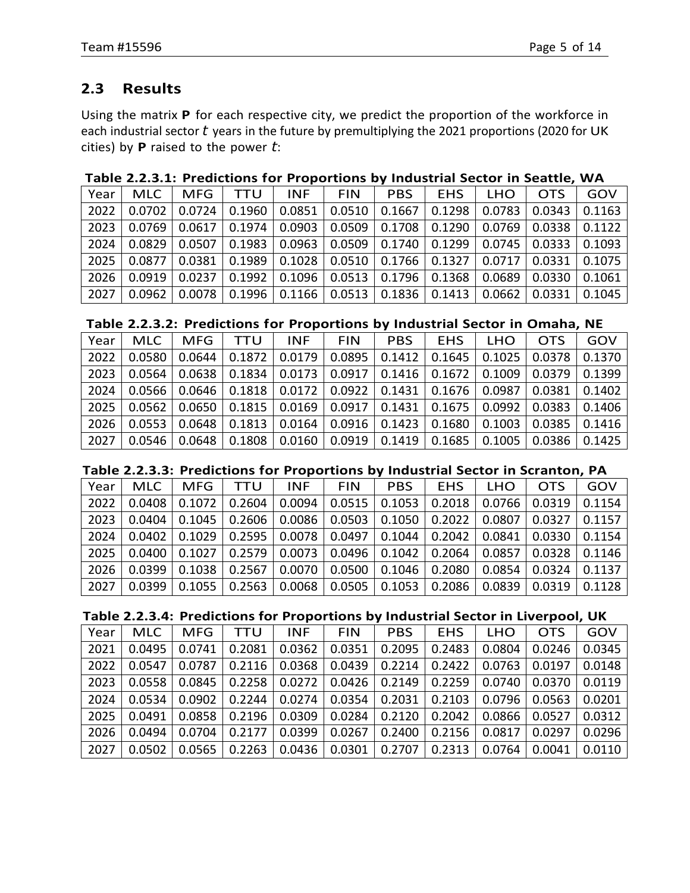# <span id="page-6-0"></span>**2.3 Results**

Using the matrix **P** for each respective city, we predict the proportion of the workforce in each industrial sector *t* years in the future by premultiplying the 2021 proportions (2020 for UK cities) by **P** raised to the power *t*:

#### **Table 2.2.3.1: Predictions for Proportions by Industrial Sector in Seattle, WA**

| Year | MLC    | MFG    | TTU    | <b>INF</b> | <b>FIN</b> | <b>PBS</b> | <b>EHS</b> | LHO    | <b>OTS</b> | GOV    |
|------|--------|--------|--------|------------|------------|------------|------------|--------|------------|--------|
| 2022 | 0.0702 | 0.0724 | 0.1960 | 0.0851     | 0.0510     | 0.1667     | 0.1298     | 0.0783 | 0.0343     | 0.1163 |
| 2023 | 0.0769 | 0.0617 | 0.1974 | 0.0903     | 0.0509     | 0.1708     | 0.1290     | 0.0769 | 0.0338     | 0.1122 |
| 2024 | 0.0829 | 0.0507 | 0.1983 | 0.0963     | 0.0509     | 0.1740     | 0.1299     | 0.0745 | 0.0333     | 0.1093 |
| 2025 | 0.0877 | 0.0381 | 0.1989 | 0.1028     | 0.0510     | 0.1766     | 0.1327     | 0.0717 | 0.0331     | 0.1075 |
| 2026 | 0.0919 | 0.0237 | 0.1992 | 0.1096     | 0.0513     | 0.1796     | 0.1368     | 0.0689 | 0.0330     | 0.1061 |
| 2027 | 0.0962 | 0.0078 | 0.1996 | 0.1166     | 0.0513     | 0.1836     | 0.1413     | 0.0662 | 0.0331     | 0.1045 |

#### **Table 2.2.3.2: Predictions for Proportions by Industrial Sector in Omaha, NE**

| Year | MLC.   | <b>MFG</b> | TTU    | INF.   | <b>FIN</b> | <b>PBS</b>      | EHS.                      | <b>LHO</b> | <b>OTS</b> | GOV    |
|------|--------|------------|--------|--------|------------|-----------------|---------------------------|------------|------------|--------|
| 2022 | 0.0580 | 0.0644     | 0.1872 | 0.0179 | 0.0895     | 0.1412          | 0.1645                    | 0.1025     | 0.0378     | 0.1370 |
| 2023 | 0.0564 | 0.0638     | 0.1834 | 0.0173 | 0.0917     |                 | $0.1416$   0.1672         | 0.1009     | 0.0379     | 0.1399 |
| 2024 | 0.0566 | 0.0646     | 0.1818 | 0.0172 | 0.0922     |                 | $0.1431 \mid 0.1676 \mid$ | 0.0987     | 0.0381     | 0.1402 |
| 2025 | 0.0562 | 0.0650     | 0.1815 | 0.0169 | 0.0917     | 0.1431          | 0.1675                    | 0.0992     | 0.0383     | 0.1406 |
| 2026 | 0.0553 | 0.0648     | 0.1813 | 0.0164 |            | $0.0916$ 0.1423 | 0.1680                    | 0.1003     | 0.0385     | 0.1416 |
| 2027 | 0.0546 | 0.0648     | 0.1808 | 0.0160 | 0.0919     | 0.1419          | 0.1685                    | 0.1005     | 0.0386     | 0.1425 |

#### **Table 2.2.3.3: Predictions for Proportions by Industrial Sector in Scranton, PA**

| Year | <b>MLC</b> | MFG    | <b>TTU</b> | INF    | <b>FIN</b> | <b>PBS</b>        | EHS.   | <b>LHO</b> | <b>OTS</b>        | GOV    |
|------|------------|--------|------------|--------|------------|-------------------|--------|------------|-------------------|--------|
| 2022 | 0.0408     | 0.1072 | 0.2604     | 0.0094 |            | $0.0515$ 0.1053   | 0.2018 |            | $0.0766$   0.0319 | 0.1154 |
| 2023 | 0.0404     | 0.1045 | 0.2606     | 0.0086 | 0.0503     | $\vert$ 0.1050    | 0.2022 | 0.0807     | 0.0327            | 0.1157 |
| 2024 | 0.0402     | 0.1029 | 0.2595     | 0.0078 | 0.0497     | 0.1044            | 0.2042 | 0.0841     | 0.0330            | 0.1154 |
| 2025 | 0.0400     | 0.1027 | 0.2579     | 0.0073 |            | $0.0496$   0.1042 | 0.2064 | 0.0857     | 0.0328            | 0.1146 |
| 2026 | 0.0399     | 0.1038 | 0.2567     | 0.0070 | 0.0500     | 0.1046            | 0.2080 | 0.0854     | 0.0324            | 0.1137 |
| 2027 | 0.0399     | 0.1055 | 0.2563     | 0.0068 | 0.0505     | $ 0.1053\rangle$  | 0.2086 | 0.0839     | 0.0319            | 0.1128 |

#### **Table 2.2.3.4: Predictions for Proportions by Industrial Sector in Liverpool, UK**

| Year | <b>MLC</b> | <b>MFG</b> | <b>TTU</b>                                                     | <b>INF</b> | <b>FIN</b> | <b>PBS</b>                                                                                        | EHS.              | <b>LHO</b> | <b>OTS</b> | GOV    |
|------|------------|------------|----------------------------------------------------------------|------------|------------|---------------------------------------------------------------------------------------------------|-------------------|------------|------------|--------|
| 2021 | 0.0495     | 0.0741     | 0.2081                                                         | 0.0362     | 0.0351     | 0.2095                                                                                            | 0.2483            | 0.0804     | 0.0246     | 0.0345 |
| 2022 | 0.0547     | 0.0787     |                                                                |            |            | $\mid$ 0.2116 $\mid$ 0.0368 $\mid$ 0.0439 $\mid$ 0.2214 $\mid$ 0.2422 $\mid$ 0.0763 $\mid$ 0.0197 |                   |            |            | 0.0148 |
| 2023 | 0.0558     |            | $0.0845$   0.2258   0.0272   0.0426   0.2149   0.2259   0.0740 |            |            |                                                                                                   |                   |            | 0.0370     | 0.0119 |
| 2024 | 0.0534     |            | $0.0902$   0.2244   0.0274   0.0354   0.2031   0.2103          |            |            |                                                                                                   |                   | 0.0796 L   | 0.0563     | 0.0201 |
| 2025 | 0.0491     |            | $0.0858$   0.2196   0.0309   0.0284   0.2120   0.2042   0.0866 |            |            |                                                                                                   |                   |            | 0.0527     | 0.0312 |
| 2026 | 0.0494     |            | $0.0704$   0.2177   0.0399                                     |            |            | $0.0267$   0.2400                                                                                 | $0.2156$ $0.0817$ |            | 0.0297     | 0.0296 |
| 2027 | 0.0502     | 0.0565     |                                                                |            |            | $0.2263$   0.0436   0.0301   0.2707   0.2313                                                      |                   | 0.0764     | 0.0041     | 0.0110 |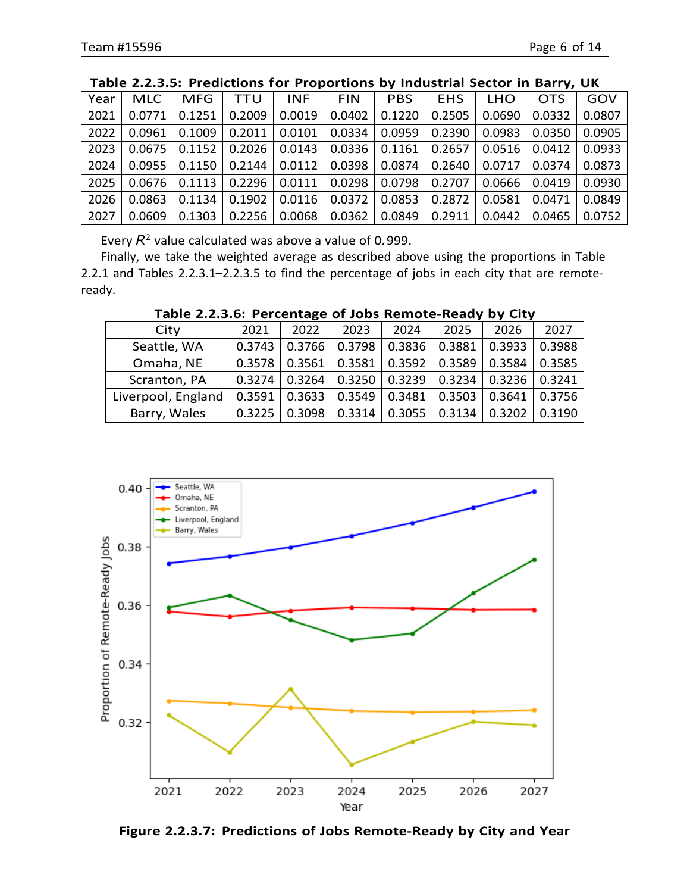| Year | <b>MLC</b> | <b>MFG</b> | TTU    | <b>INF</b> | <b>FIN</b> | <b>PBS</b> | <b>EHS</b> | <b>LHO</b> | <b>OTS</b> | GOV    |
|------|------------|------------|--------|------------|------------|------------|------------|------------|------------|--------|
| 2021 | 0.0771     | 0.1251     | 0.2009 | 0.0019     | 0.0402     | 0.1220     | 0.2505     | 0.0690     | 0.0332     | 0.0807 |
| 2022 | 0.0961     | 0.1009     | 0.2011 | 0.0101     | 0.0334     | 0.0959     | 0.2390     | 0.0983     | 0.0350     | 0.0905 |
| 2023 | 0.0675     | 0.1152     | 0.2026 | 0.0143     | 0.0336     | 0.1161     | 0.2657     | 0.0516     | 0.0412     | 0.0933 |
| 2024 | 0.0955     | 0.1150     | 0.2144 | 0.0112     | 0.0398     | 0.0874     | 0.2640     | 0.0717     | 0.0374     | 0.0873 |
| 2025 | 0.0676     | 0.1113     | 0.2296 | 0.0111     | 0.0298     | 0.0798     | 0.2707     | 0.0666     | 0.0419     | 0.0930 |
| 2026 | 0.0863     | 0.1134     | 0.1902 | 0.0116     | 0.0372     | 0.0853     | 0.2872     | 0.0581     | 0.0471     | 0.0849 |
| 2027 | 0.0609     | 0.1303     | 0.2256 | 0.0068     | 0.0362     | 0.0849     | 0.2911     | 0.0442     | 0.0465     | 0.0752 |

#### **Table 2.2.3.5: Predictions for Proportions by Industrial Sector in Barry, UK**

Every *R*<sup>2</sup> value calculated was above a value of 0*.*999.

Finally, we take the weighted average as described above using the proportions in Table 2.2.1 and Tables 2.2.3.1–2.2.3.5 to find the percentage of jobs in each city that are remoteready.

| 2021   | 2022   | 2023   | 2024   | 2025   | 2026   | 2027   |
|--------|--------|--------|--------|--------|--------|--------|
| 0.3743 | 0.3766 | 0.3798 | 0.3836 | 0.3881 | 0.3933 | 0.3988 |
| 0.3578 | 0.3561 | 0.3581 | 0.3592 | 0.3589 | 0.3584 | 0.3585 |
| 0.3274 | 0.3264 | 0.3250 | 0.3239 | 0.3234 | 0.3236 | 0.3241 |
| 0.3591 | 0.3633 | 0.3549 | 0.3481 | 0.3503 | 0.3641 | 0.3756 |
| 0.3225 | 0.3098 | 0.3314 | 0.3055 | 0.3134 | 0.3202 | 0.3190 |
|        |        |        |        |        |        |        |

**Table 2.2.3.6: Percentage of Jobs Remote-Ready by City**



**Figure 2.2.3.7: Predictions of Jobs Remote-Ready by City and Year**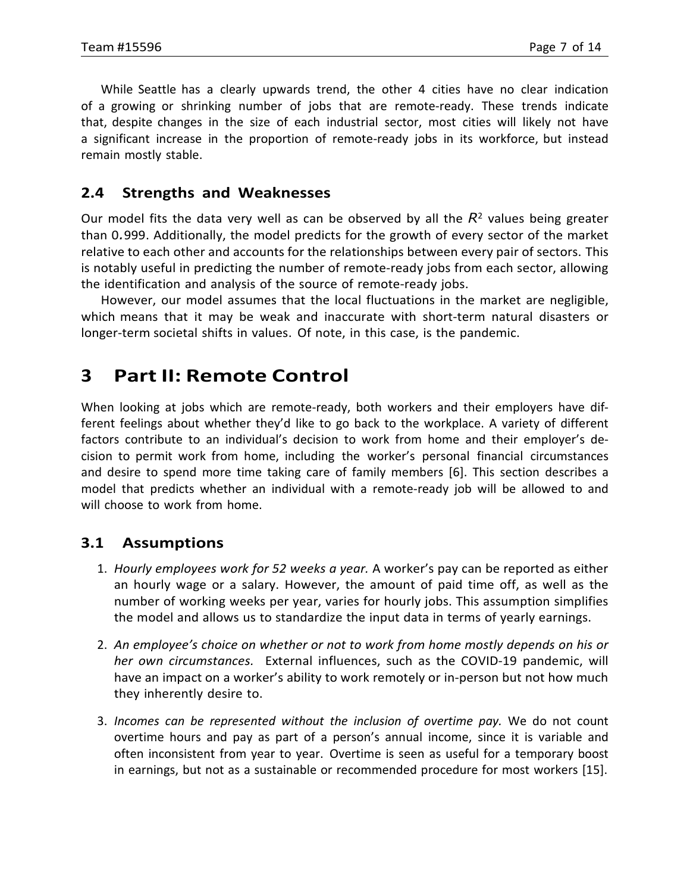While Seattle has a clearly upwards trend, the other 4 cities have no clear indication of a growing or shrinking number of jobs that are remote-ready. These trends indicate that, despite changes in the size of each industrial sector, most cities will likely not have a significant increase in the proportion of remote-ready jobs in its workforce, but instead remain mostly stable.

### <span id="page-8-0"></span>**2.4 Strengths and Weaknesses**

Our model fits the data very well as can be observed by all the  $R<sup>2</sup>$  values being greater than 0*.*999. Additionally, the model predicts for the growth of every sector of the market relative to each other and accounts for the relationships between every pair of sectors. This is notably useful in predicting the number of remote-ready jobs from each sector, allowing the identification and analysis of the source of remote-ready jobs.

However, our model assumes that the local fluctuations in the market are negligible, which means that it may be weak and inaccurate with short-term natural disasters or longer-term societal shifts in values. Of note, in this case, is the pandemic.

# <span id="page-8-1"></span>**3 Part II: Remote Control**

When looking at jobs which are remote-ready, both workers and their employers have different feelings about whether they'd like to go back to the workplace. A variety of different factors contribute to an individual's decision to work from home and their employer's decision to permit work from home, including the worker's personal financial circumstances and desire to spend more time taking care of family members [6]. This section describes a model that predicts whether an individual with a remote-ready job will be allowed to and will choose to work from home.

# <span id="page-8-2"></span>**3.1 Assumptions**

- 1. *Hourly employees work for 52 weeks a year.* A worker's pay can be reported as either an hourly wage or a salary. However, the amount of paid time off, as well as the number of working weeks per year, varies for hourly jobs. This assumption simplifies the model and allows us to standardize the input data in terms of yearly earnings.
- 2. *An employee's choice on whether or not to work from home mostly depends on his or her own circumstances.* External influences, such as the COVID-19 pandemic, will have an impact on a worker's ability to work remotely or in-person but not how much they inherently desire to.
- 3. *Incomes can be represented without the inclusion of overtime pay.* We do not count overtime hours and pay as part of a person's annual income, since it is variable and often inconsistent from year to year. Overtime is seen as useful for a temporary boost in earnings, but not as a sustainable or recommended procedure for most workers [15].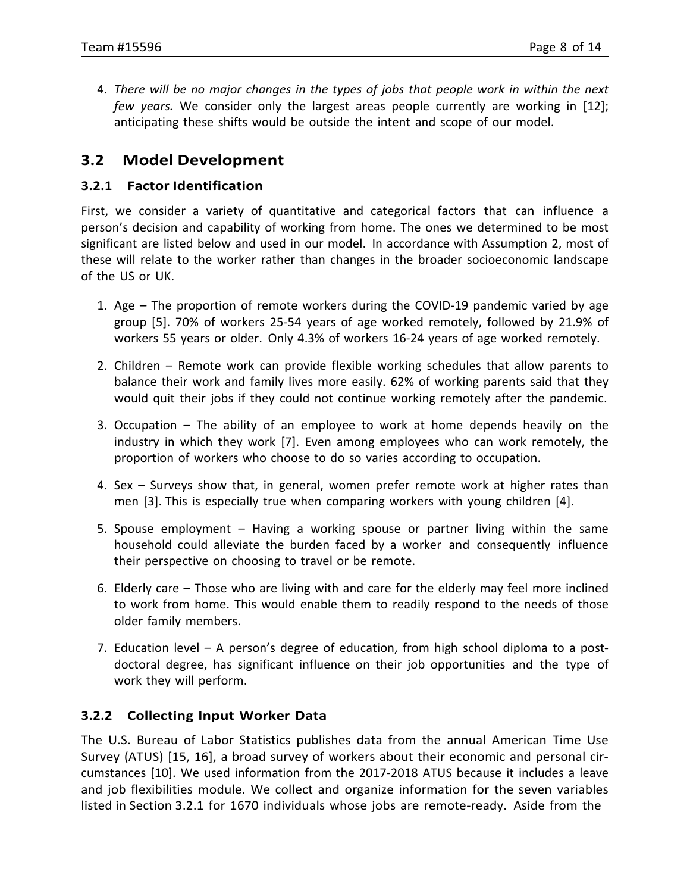4. *There will be no major changes in the types of jobs that people work in within the next few years.* We consider only the largest areas people currently are working in [12]; anticipating these shifts would be outside the intent and scope of our model.

# <span id="page-9-0"></span>**3.2 Model Development**

#### <span id="page-9-1"></span>**3.2.1 Factor Identification**

First, we consider a variety of quantitative and categorical factors that can influence a person's decision and capability of working from home. The ones we determined to be most significant are listed below and used in our model. In accordance with Assumption 2, most of these will relate to the worker rather than changes in the broader socioeconomic landscape of the US or UK.

- 1. Age The proportion of remote workers during the COVID-19 pandemic varied by age group [5]. 70% of workers 25-54 years of age worked remotely, followed by 21.9% of workers 55 years or older. Only 4.3% of workers 16-24 years of age worked remotely.
- 2. Children Remote work can provide flexible working schedules that allow parents to balance their work and family lives more easily. 62% of working parents said that they would quit their jobs if they could not continue working remotely after the pandemic.
- 3. Occupation The ability of an employee to work at home depends heavily on the industry in which they work [7]. Even among employees who can work remotely, the proportion of workers who choose to do so varies according to occupation.
- 4. Sex Surveys show that, in general, women prefer remote work at higher rates than men [3]. This is especially true when comparing workers with young children [4].
- 5. Spouse employment Having a working spouse or partner living within the same household could alleviate the burden faced by a worker and consequently influence their perspective on choosing to travel or be remote.
- 6. Elderly care Those who are living with and care for the elderly may feel more inclined to work from home. This would enable them to readily respond to the needs of those older family members.
- 7. Education level A person's degree of education, from high school diploma to a postdoctoral degree, has significant influence on their job opportunities and the type of work they will perform.

#### <span id="page-9-2"></span>**3.2.2 Collecting Input Worker Data**

The U.S. Bureau of Labor Statistics publishes data from the annual American Time Use Survey (ATUS) [15, 16], a broad survey of workers about their economic and personal circumstances [10]. We used information from the 2017-2018 ATUS because it includes a leave and job flexibilities module. We collect and organize information for the seven variables listed in Section 3.2.1 for 1670 individuals whose jobs are remote-ready. Aside from the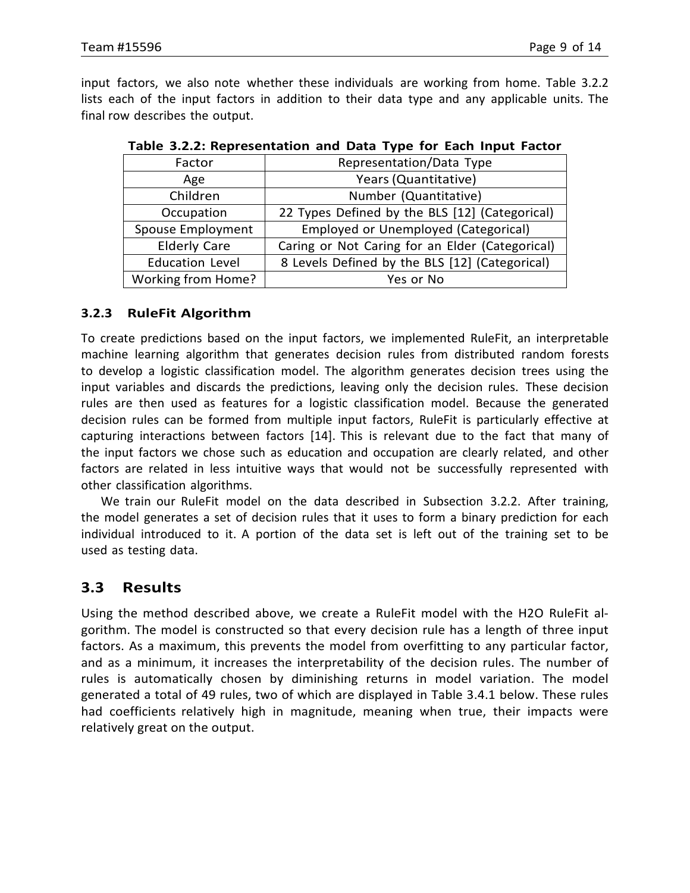input factors, we also note whether these individuals are working from home. Table 3.2.2 lists each of the input factors in addition to their data type and any applicable units. The final row describes the output.

| Factor                   | Representation/Data Type                        |
|--------------------------|-------------------------------------------------|
| Age                      | Years (Quantitative)                            |
| Children                 | Number (Quantitative)                           |
| Occupation               | 22 Types Defined by the BLS [12] (Categorical)  |
| <b>Spouse Employment</b> | Employed or Unemployed (Categorical)            |
| <b>Elderly Care</b>      | Caring or Not Caring for an Elder (Categorical) |
| <b>Education Level</b>   | 8 Levels Defined by the BLS [12] (Categorical)  |
| Working from Home?       | Yes or No                                       |

| Table 3.2.2: Representation and Data Type for Each Input Factor |  |
|-----------------------------------------------------------------|--|
|-----------------------------------------------------------------|--|

#### <span id="page-10-0"></span>**3.2.3 RuleFit Algorithm**

To create predictions based on the input factors, we implemented RuleFit, an interpretable machine learning algorithm that generates decision rules from distributed random forests to develop a logistic classification model. The algorithm generates decision trees using the input variables and discards the predictions, leaving only the decision rules. These decision rules are then used as features for a logistic classification model. Because the generated decision rules can be formed from multiple input factors, RuleFit is particularly effective at capturing interactions between factors [14]. This is relevant due to the fact that many of the input factors we chose such as education and occupation are clearly related, and other factors are related in less intuitive ways that would not be successfully represented with other classification algorithms.

We train our RuleFit model on the data described in Subsection 3.2.2. After training, the model generates a set of decision rules that it uses to form a binary prediction for each individual introduced to it. A portion of the data set is left out of the training set to be used as testing data.

### <span id="page-10-1"></span>**3.3 Results**

Using the method described above, we create a RuleFit model with the H2O RuleFit algorithm. The model is constructed so that every decision rule has a length of three input factors. As a maximum, this prevents the model from overfitting to any particular factor, and as a minimum, it increases the interpretability of the decision rules. The number of rules is automatically chosen by diminishing returns in model variation. The model generated a total of 49 rules, two of which are displayed in Table 3.4.1 below. These rules had coefficients relatively high in magnitude, meaning when true, their impacts were relatively great on the output.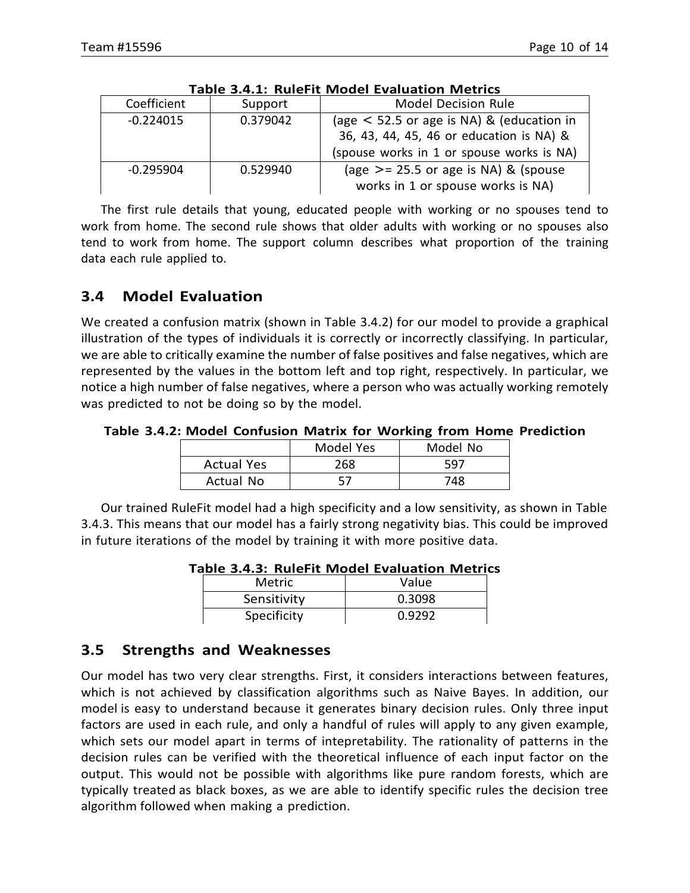|             |          | 71-11 - 1101 C II IVIOUCI LVUIUULIVII IVICLIIUJ |
|-------------|----------|-------------------------------------------------|
| Coefficient | Support  | <b>Model Decision Rule</b>                      |
| $-0.224015$ | 0.379042 | (age $\le$ 52.5 or age is NA) & (education in   |
|             |          | 36, 43, 44, 45, 46 or education is NA) &        |
|             |          | (spouse works in 1 or spouse works is NA)       |
| $-0.295904$ | 0.529940 | (age $>$ = 25.5 or age is NA) & (spouse         |
|             |          | works in 1 or spouse works is NA)               |

|  |  | Table 3.4.1: RuleFit Model Evaluation Metrics |  |
|--|--|-----------------------------------------------|--|
|  |  |                                               |  |

The first rule details that young, educated people with working or no spouses tend to work from home. The second rule shows that older adults with working or no spouses also tend to work from home. The support column describes what proportion of the training data each rule applied to.

# <span id="page-11-0"></span>**3.4 Model Evaluation**

We created a confusion matrix (shown in Table 3.4.2) for our model to provide a graphical illustration of the types of individuals it is correctly or incorrectly classifying. In particular, we are able to critically examine the number of false positives and false negatives, which are represented by the values in the bottom left and top right, respectively. In particular, we notice a high number of false negatives, where a person who was actually working remotely was predicted to not be doing so by the model.

**Table 3.4.2: Model Confusion Matrix for Working from Home Prediction**

|                   | Model Yes | Model No |
|-------------------|-----------|----------|
| <b>Actual Yes</b> | 268       | 597      |
| Actual No         |           | 748.     |

Our trained RuleFit model had a high specificity and a low sensitivity, as shown in Table 3.4.3. This means that our model has a fairly strong negativity bias. This could be improved in future iterations of the model by training it with more positive data.

|             | aple 3.4.3: Ruierit Model Evaluation Metri |
|-------------|--------------------------------------------|
| Metric      | Value                                      |
| Sensitivity | 0.3098                                     |
| Specificity | 0.9292                                     |

**Table 3.4.3: RuleFit Model Evaluation Metrics**

# <span id="page-11-1"></span>**3.5 Strengths and Weaknesses**

Our model has two very clear strengths. First, it considers interactions between features, which is not achieved by classification algorithms such as Naive Bayes. In addition, our model is easy to understand because it generates binary decision rules. Only three input factors are used in each rule, and only a handful of rules will apply to any given example, which sets our model apart in terms of intepretability. The rationality of patterns in the decision rules can be verified with the theoretical influence of each input factor on the output. This would not be possible with algorithms like pure random forests, which are typically treated as black boxes, as we are able to identify specific rules the decision tree algorithm followed when making a prediction.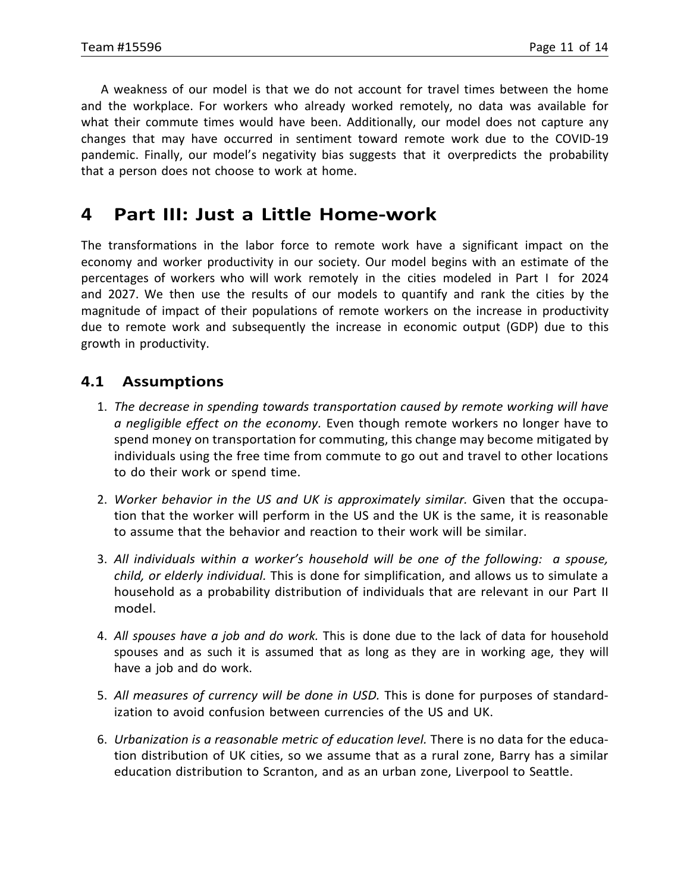A weakness of our model is that we do not account for travel times between the home and the workplace. For workers who already worked remotely, no data was available for what their commute times would have been. Additionally, our model does not capture any changes that may have occurred in sentiment toward remote work due to the COVID-19 pandemic. Finally, our model's negativity bias suggests that it overpredicts the probability that a person does not choose to work at home.

# <span id="page-12-0"></span>**4 Part III: Just a Little Home-work**

The transformations in the labor force to remote work have a significant impact on the economy and worker productivity in our society. Our model begins with an estimate of the percentages of workers who will work remotely in the cities modeled in Part I for 2024 and 2027. We then use the results of our models to quantify and rank the cities by the magnitude of impact of their populations of remote workers on the increase in productivity due to remote work and subsequently the increase in economic output (GDP) due to this growth in productivity.

# <span id="page-12-1"></span>**4.1 Assumptions**

- 1. *The decrease in spending towards transportation caused by remote working will have a negligible effect on the economy.* Even though remote workers no longer have to spend money on transportation for commuting, this change may become mitigated by individuals using the free time from commute to go out and travel to other locations to do their work or spend time.
- 2. *Worker behavior in the US and UK is approximately similar.* Given that the occupation that the worker will perform in the US and the UK is the same, it is reasonable to assume that the behavior and reaction to their work will be similar.
- 3. *All individuals within a worker's household will be one of the following: a spouse, child, or elderly individual.* This is done for simplification, and allows us to simulate a household as a probability distribution of individuals that are relevant in our Part II model.
- 4. *All spouses have a job and do work.* This is done due to the lack of data for household spouses and as such it is assumed that as long as they are in working age, they will have a job and do work.
- 5. *All measures of currency will be done in USD.* This is done for purposes of standardization to avoid confusion between currencies of the US and UK.
- 6. *Urbanization is a reasonable metric of education level.* There is no data for the education distribution of UK cities, so we assume that as a rural zone, Barry has a similar education distribution to Scranton, and as an urban zone, Liverpool to Seattle.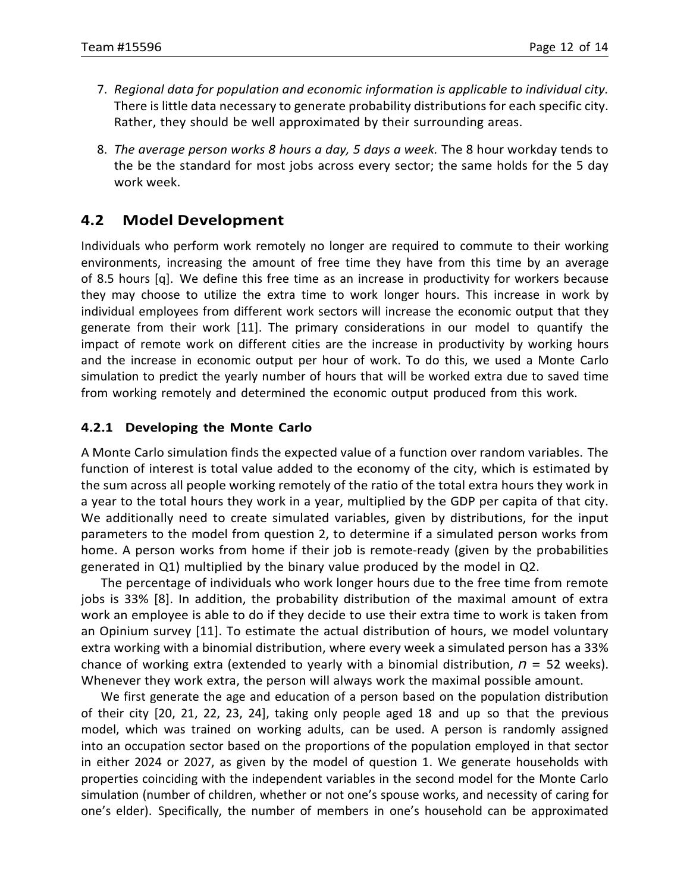- 7. *Regional data for population and economic information is applicable to individual city.* There is little data necessary to generate probability distributions for each specific city. Rather, they should be well approximated by their surrounding areas.
- 8. *The average person works 8 hours a day, 5 days a week.* The 8 hour workday tends to the be the standard for most jobs across every sector; the same holds for the 5 day work week.

### <span id="page-13-0"></span>**4.2 Model Development**

Individuals who perform work remotely no longer are required to commute to their working environments, increasing the amount of free time they have from this time by an average of 8.5 hours [q]. We define this free time as an increase in productivity for workers because they may choose to utilize the extra time to work longer hours. This increase in work by individual employees from different work sectors will increase the economic output that they generate from their work [11]. The primary considerations in our model to quantify the impact of remote work on different cities are the increase in productivity by working hours and the increase in economic output per hour of work. To do this, we used a Monte Carlo simulation to predict the yearly number of hours that will be worked extra due to saved time from working remotely and determined the economic output produced from this work.

#### <span id="page-13-1"></span>**4.2.1 Developing the Monte Carlo**

A Monte Carlo simulation finds the expected value of a function over random variables. The function of interest is total value added to the economy of the city, which is estimated by the sum across all people working remotely of the ratio of the total extra hours they work in a year to the total hours they work in a year, multiplied by the GDP per capita of that city. We additionally need to create simulated variables, given by distributions, for the input parameters to the model from question 2, to determine if a simulated person works from home. A person works from home if their job is remote-ready (given by the probabilities generated in Q1) multiplied by the binary value produced by the model in Q2.

The percentage of individuals who work longer hours due to the free time from remote jobs is 33% [8]. In addition, the probability distribution of the maximal amount of extra work an employee is able to do if they decide to use their extra time to work is taken from an Opinium survey [11]. To estimate the actual distribution of hours, we model voluntary extra working with a binomial distribution, where every week a simulated person has a 33% chance of working extra (extended to yearly with a binomial distribution, *n* = 52 weeks). Whenever they work extra, the person will always work the maximal possible amount.

We first generate the age and education of a person based on the population distribution of their city [20, 21, 22, 23, 24], taking only people aged 18 and up so that the previous model, which was trained on working adults, can be used. A person is randomly assigned into an occupation sector based on the proportions of the population employed in that sector in either 2024 or 2027, as given by the model of question 1. We generate households with properties coinciding with the independent variables in the second model for the Monte Carlo simulation (number of children, whether or not one's spouse works, and necessity of caring for one's elder). Specifically, the number of members in one's household can be approximated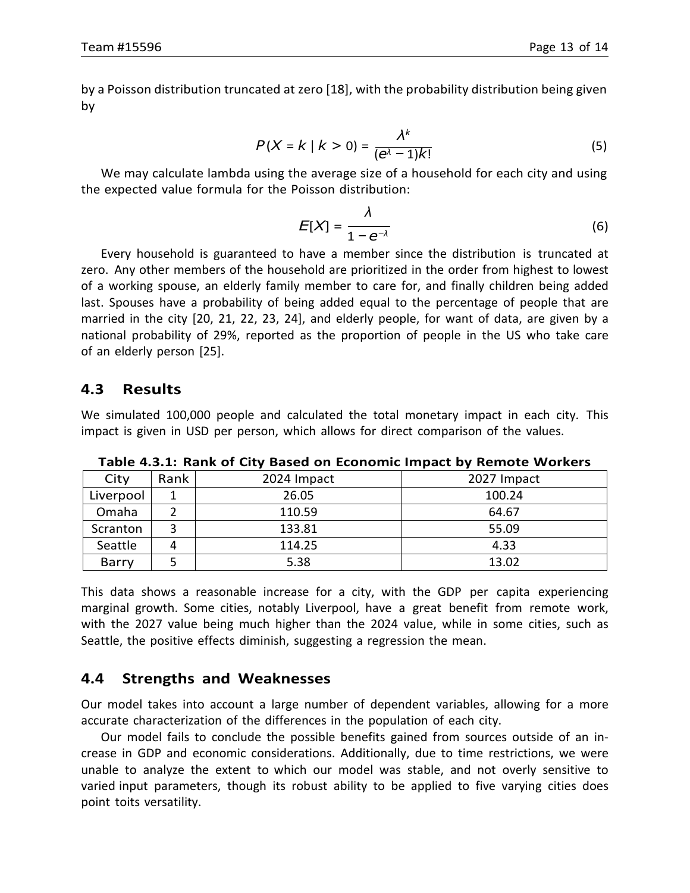by a Poisson distribution truncated at zero [18], with the probability distribution being given by

$$
P(X = k \mid k > 0) = \frac{\lambda^k}{(e^{\lambda} - 1)k!}
$$
 (5)

We may calculate lambda using the average size of a household for each city and using the expected value formula for the Poisson distribution:

$$
E[X] = \frac{\lambda}{1 - e^{-\lambda}}
$$
 (6)

Every household is guaranteed to have a member since the distribution is truncated at zero. Any other members of the household are prioritized in the order from highest to lowest of a working spouse, an elderly family member to care for, and finally children being added last. Spouses have a probability of being added equal to the percentage of people that are married in the city [20, 21, 22, 23, 24], and elderly people, for want of data, are given by a national probability of 29%, reported as the proportion of people in the US who take care of an elderly person [25].

### <span id="page-14-0"></span>**4.3 Results**

We simulated 100,000 people and calculated the total monetary impact in each city. This impact is given in USD per person, which allows for direct comparison of the values.

| City               | Rank<br>2024 Impact |        | 2027 Impact |  |  |
|--------------------|---------------------|--------|-------------|--|--|
| 26.05<br>Liverpool |                     |        | 100.24      |  |  |
| Omaha              |                     | 110.59 | 64.67       |  |  |
| Scranton           |                     | 133.81 | 55.09       |  |  |
| Seattle            |                     | 114.25 | 4.33        |  |  |
| Barry              | 5.38                |        | 13.02       |  |  |

**Table 4.3.1: Rank of City Based on Economic Impact by Remote Workers**

This data shows a reasonable increase for a city, with the GDP per capita experiencing marginal growth. Some cities, notably Liverpool, have a great benefit from remote work, with the 2027 value being much higher than the 2024 value, while in some cities, such as Seattle, the positive effects diminish, suggesting a regression the mean.

### <span id="page-14-1"></span>**4.4 Strengths and Weaknesses**

Our model takes into account a large number of dependent variables, allowing for a more accurate characterization of the differences in the population of each city.

Our model fails to conclude the possible benefits gained from sources outside of an increase in GDP and economic considerations. Additionally, due to time restrictions, we were unable to analyze the extent to which our model was stable, and not overly sensitive to varied input parameters, though its robust ability to be applied to five varying cities does point toits versatility.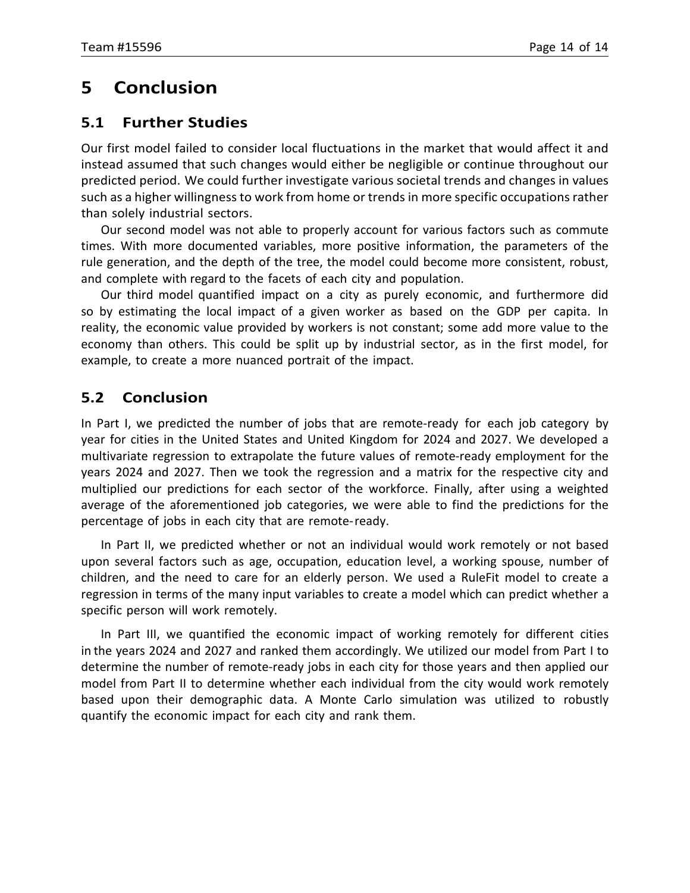# <span id="page-15-0"></span>**5 Conclusion**

### <span id="page-15-1"></span>**5.1 Further Studies**

Our first model failed to consider local fluctuations in the market that would affect it and instead assumed that such changes would either be negligible or continue throughout our predicted period. We could further investigate various societal trends and changes in values such as a higher willingnessto work from home or trends in more specific occupations rather than solely industrial sectors.

Our second model was not able to properly account for various factors such as commute times. With more documented variables, more positive information, the parameters of the rule generation, and the depth of the tree, the model could become more consistent, robust, and complete with regard to the facets of each city and population.

Our third model quantified impact on a city as purely economic, and furthermore did so by estimating the local impact of a given worker as based on the GDP per capita. In reality, the economic value provided by workers is not constant; some add more value to the economy than others. This could be split up by industrial sector, as in the first model, for example, to create a more nuanced portrait of the impact.

# <span id="page-15-2"></span>**5.2 Conclusion**

In Part I, we predicted the number of jobs that are remote-ready for each job category by year for cities in the United States and United Kingdom for 2024 and 2027. We developed a multivariate regression to extrapolate the future values of remote-ready employment for the years 2024 and 2027. Then we took the regression and a matrix for the respective city and multiplied our predictions for each sector of the workforce. Finally, after using a weighted average of the aforementioned job categories, we were able to find the predictions for the percentage of jobs in each city that are remote-ready.

In Part II, we predicted whether or not an individual would work remotely or not based upon several factors such as age, occupation, education level, a working spouse, number of children, and the need to care for an elderly person. We used a RuleFit model to create a regression in terms of the many input variables to create a model which can predict whether a specific person will work remotely.

In Part III, we quantified the economic impact of working remotely for different cities in the years 2024 and 2027 and ranked them accordingly. We utilized our model from Part I to determine the number of remote-ready jobs in each city for those years and then applied our model from Part II to determine whether each individual from the city would work remotely based upon their demographic data. A Monte Carlo simulation was utilized to robustly quantify the economic impact for each city and rank them.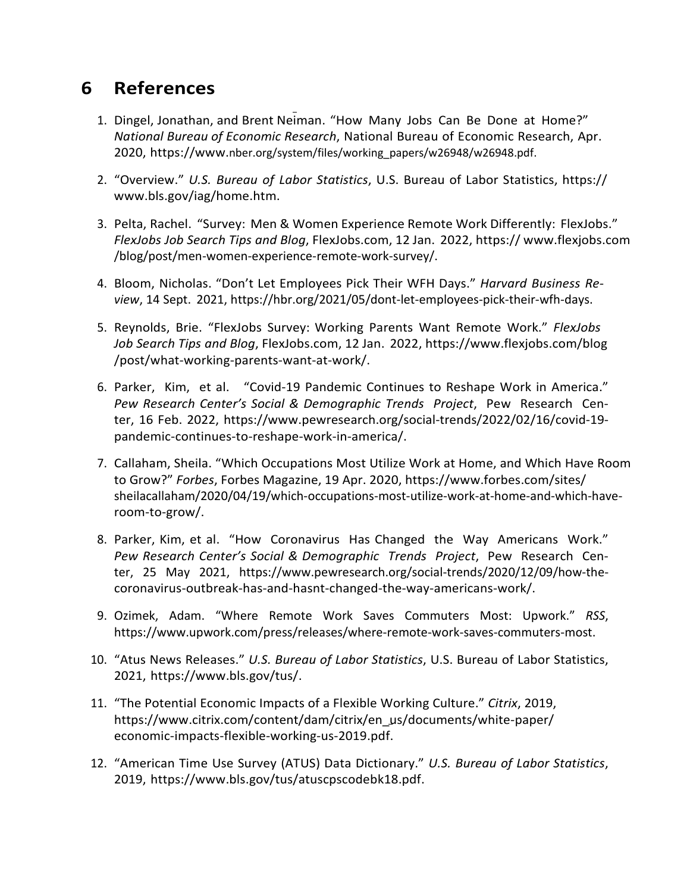# <span id="page-16-0"></span>**6 References**

- 1. Dingel, Jonathan, and Brent Neiman. "How Many Jobs Can Be Done at Home?" *National Bureau of Economic Research*, National Bureau of Economic Research, Apr. 2020, https://www.nber.org/system/files/working\_papers/w26948/w26948.pdf.
- 2. "Overview." *U.S. Bureau of Labor Statistics*, U.S. Bureau of Labor Statistics, https:// [www.bls.gov/iag/home.htm.](http://www.bls.gov/iag/home.htm)
- 3. Pelta, Rachel. "Survey: Men & Women Experience Remote Work Differently: FlexJobs." *FlexJobs Job Search Tips and Blog*, FlexJobs.com, 12 Jan. 2022, https:// [www.flexjobs.com](http://www.flexjobs.com/) /blog/post/men-women-experience-remote-work-survey/.
- 4. Bloom, Nicholas. "Don't Let Employees Pick Their WFH Days." *Harvard Business Review*, 14 Sept. 2021, https://hbr.org/2021/05/dont-let-employees-pick-their-wfh-days.
- 5. Reynolds, Brie. "FlexJobs Survey: Working Parents Want Remote Work." *FlexJobs Job Search Tips and Blog*, FlexJobs.com, 12 Jan. 2022, [https://www.flexjobs.com/blog](http://www.flexjobs.com/blog) /post/what-working-parents-want-at-work/.
- 6. Parker, Kim, et al. "Covid-19 Pandemic Continues to Reshape Work in America." *Pew Research Center's Social & Demographic Trends Project*, Pew Research Center, 16 Feb. 2022, [https://www.pewresearch.org/social-trends/2022/02/16/cov](http://www.pewresearch.org/social-trends/2022/02/16/covid-19-)id-19 pandemic-continues-to-reshape-work-in-america/.
- 7. Callaham, Sheila. "Which Occupations Most Utilize Work at Home, and Which Have Room to Grow?" *Forbes*, Forbes Magazine, 19 Apr. 2020, [https://www.forbes.com/sites/](http://www.forbes.com/sites/) sheilacallaham/2020/04/19/which-occupations-most-utilize-work-at-home-and-which-haveroom-to-grow/.
- 8. Parker, Kim, et al. "How Coronavirus Has Changed the Way Americans Work." *Pew Research Center's Social & Demographic Trends Project*, Pew Research Center, 25 May 2021, [https://www.pewresearch](http://www.pewresearch.org/social-trends/2020/12/09/how-the-).org/[social-trends/2020/12/09/how-the](http://www.pewresearch.org/social-trends/2020/12/09/how-the-)coronavirus-outbreak-has-and-hasnt-changed-the-way-americans-work/.
- 9. Ozimek, Adam. "Where Remote Work Saves Commuters Most: Upwork." *RSS*, [https://www.upwork.com/press/releases/where-remote-work-saves-commuters-most.](http://www.upwork.com/press/releases/where-remote-work-saves-commuters-most)
- 10. "Atus News Releases." *U.S. Bureau of Labor Statistics*, U.S. Bureau of Labor Statistics, 2021, [https://www.bls.gov](http://www.bls.gov/tus/)/tus/.
- 11. "The Potential Economic Impacts of a Flexible Working Culture." *Citrix*, 2019, [https://www.citrix.com/cont](http://www.citrix.com/content/dam/citrix/en)e[nt/dam/citrix/en\\_us/](http://www.citrix.com/content/dam/citrix/en)documents/white-paper/ economic-impacts-flexible-working-us-2019.pdf.
- 12. "American Time Use Survey (ATUS) Data Dictionary." *U.S. Bureau of Labor Statistics*, 2019, [https://www.bls.gov/tus/atuscpscodebk18.pd](http://www.bls.gov/tus/atuscpscodebk18.pdf)f.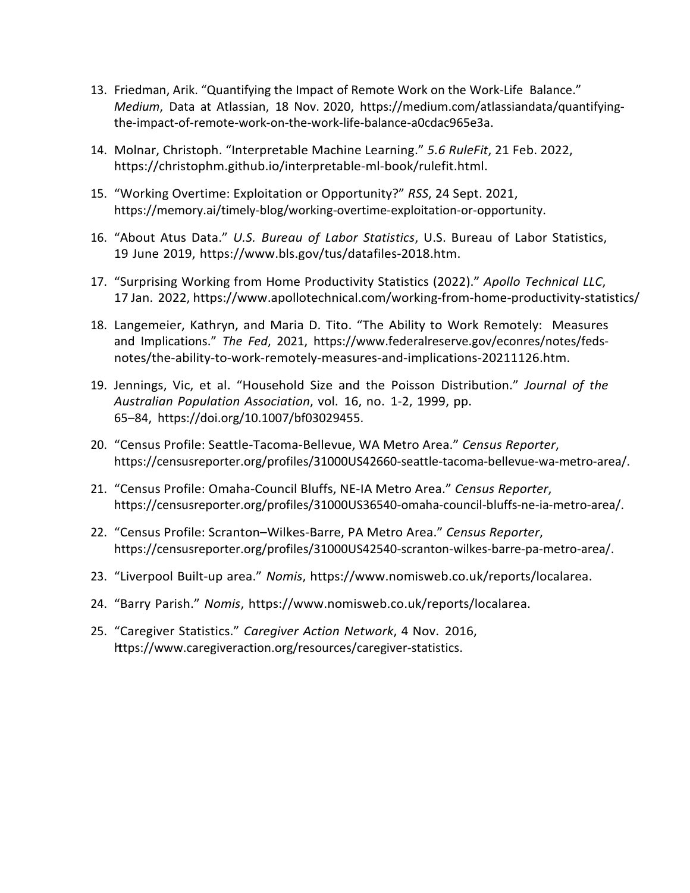- 13. Friedman, Arik. "Quantifying the Impact of Remote Work on the Work-Life Balance." *Medium*, Data at Atlassian, 18 Nov. 2020, https://medium.com/atlassiandata/quantifyingthe-impact-of-remote-work-on-the-work-life-balance-a0cdac965e3a.
- 14. Molnar, Christoph. "Interpretable Machine Learning." *5.6 RuleFit*, 21 Feb. 2022, https://christophm.github.io/interpretable-ml-book/rulefit.html.
- 15. "Working Overtime: Exploitation or Opportunity?" *RSS*, 24 Sept. 2021, https://memory.ai/timely-blog/working-overtime-exploitation-or-opportunity.
- 16. "About Atus Data." *U.S. Bureau of Labor Statistics*, U.S. Bureau of Labor Statistics, 19 June 2019, [https://www.bl](http://www.bls.gov/tus/datafiles-2018.htm)s.g[ov/tus/datafiles-2018.htm.](http://www.bls.gov/tus/datafiles-2018.htm)
- 17. "Surprising Working from Home Productivity Statistics (2022)." *Apollo Technical LLC*, 17 Jan. 2022, [https://www.apo](http://www.apollotechnical.com/working-from-home-productivity-statistics/)llote[chnical.com/working-from-home-productivity-statistics/](http://www.apollotechnical.com/working-from-home-productivity-statistics/)
- 18. Langemeier, Kathryn, and Maria D. Tito. "The Ability to Work Remotely: Measures and Implications." *The Fed*, 2021, [https://www.federalreserve](http://www.federalreserve.gov/econres/notes/feds-).g[ov/econres/notes/feds](http://www.federalreserve.gov/econres/notes/feds-)notes/the-ability-to-work-remotely-measures-and-implications-20211126.htm.
- 19. Jennings, Vic, et al. "Household Size and the Poisson Distribution." *Journal of the Australian Population Association*, vol. 16, no. 1-2, 1999, pp. 65–84, https://doi.org/10.1007/bf03029455.
- 20. "Census Profile: Seattle-Tacoma-Bellevue, WA Metro Area." *Census Reporter*, https://censusreporter.org/profiles/31000US42660-seattle-tacoma-bellevue-wa-metro-area/.
- 21. "Census Profile: Omaha-Council Bluffs, NE-IA Metro Area." *Census Reporter*, https://censusreporter.org/profiles/31000US36540-omaha-council-bluffs-ne-ia-metro-area/.
- 22. "Census Profile: Scranton–Wilkes-Barre, PA Metro Area." *Census Reporter*, https://censusreporter.org/profiles/31000US42540-scranton-wilkes-barre-pa-metro-area/.
- 23. "Liverpool Built-up area." *Nomis*, [https://www.nomisweb.co.uk/](http://www.nomisweb.co.uk/reports/localarea)re[ports/localarea.](http://www.nomisweb.co.uk/reports/localarea)
- 24. "Barry Parish." *Nomis*, [https://www.nomisweb.co.uk/](http://www.nomisweb.co.uk/reports/localarea)re[ports/localarea.](http://www.nomisweb.co.uk/reports/localarea)
- 25. "Caregiver Statistics." *Caregiver Action Network*, 4 Nov. 2016, [https://www.care](http://www.caregiveraction.org/resources/caregiver-statistics)gi[veraction.org/resources/caregiver-statistics.](http://www.caregiveraction.org/resources/caregiver-statistics)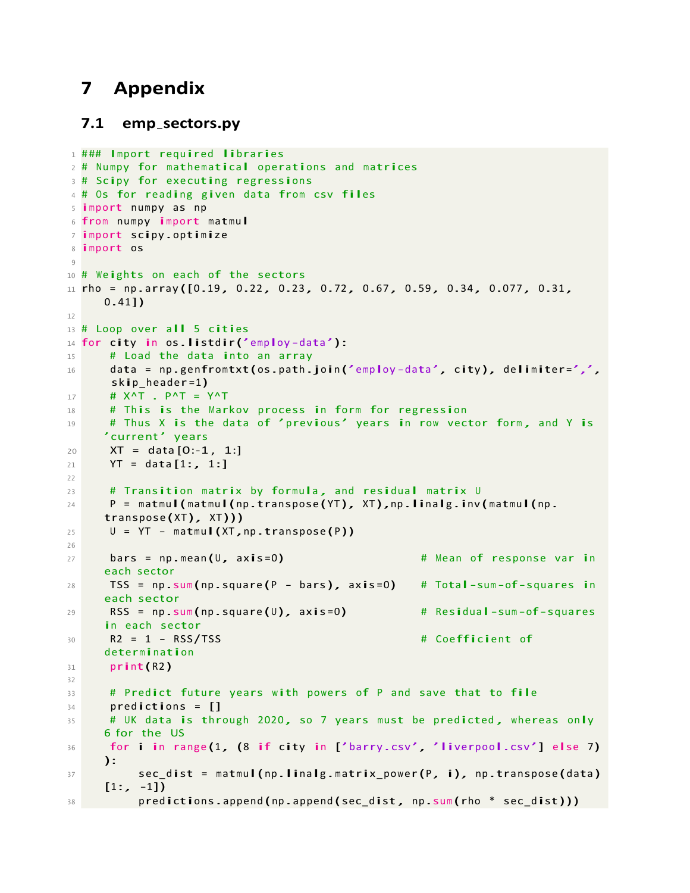# <span id="page-18-0"></span>**7 Appendix**

#### <span id="page-18-1"></span>**7.1 emp sectors.py**

```
1 ### Import required libraries
2 # Numpy for mathematical operations and matrices
3 # Scipy for executing regressions
4 # Os for reading given data from csv files
5 import numpy as np
6 from numpy import matmul
7 import scipy .optimize
8 import os
9
10 # Weights on each of the sectors
11 rho = np.array([0.19, 0.22, 0.23, 0.72, 0.67, 0.59, 0.34, 0.077, 0.31,0.41])
12
13 # Loop over all 5 cities
14 for city in os.listdir('employ-data'):<br>15 # Load the data into an array
15 \# Load the data into an array<br>16 \# data = np.genfromtxt(os.path.
      data = np.genfromtxt(os.path.join('employ-data', city), delimiter=',',
      skip_header =1)
17 # X^T . P^T = Y^T
18 # This is the Markov process in form for regression
19 # Thus X is the data of 'previous' years in row vector form, and Y is
     'current' years
20 XT = data [0:-1, 1:]21 YT = data [1:, 1:]
2223 # Transition matrix by formula , and residual matrix U
24 P = matmul(matmul(np.transpose(YT), XT),np.linalg.inv(matmul(np.
     transpose (XT), XT)))
25 U = \text{YT} - \text{matmul}(\text{XT}, \text{np.transpose(P)})26
27 bars = np.mean (U, axis=0) \qquad # Mean of response var in
     each sector
28 TSS = np .sum (np.square (P - bars), axis =0) # Total-sum -of-squares in 
     each sector
29 RSS = np.sum(np-square(U), axis = 0 # Residual-sum-of-squares
     in each sector
30 R2 = 1 - RSS/TSS # Coefficient of
     determination
31 print(R2)
32
33 # Predict future years with powers of P and save that to file
34 predictions = []
35 # UK data is through 2020, so 7 years must be predicted, whereas only
     6 for the US
36 for i in range (1, (8 if city in ['barry.csv', 'liverpool.csv'] else 7)
     ):
37 sec_dist = matmul(np.linalg.matrix_power(P, i), np.transpose(data)
     [1:,-1]38 predictions.append (np .append (sec_dist, np.sum (rho * sec_dist)))
```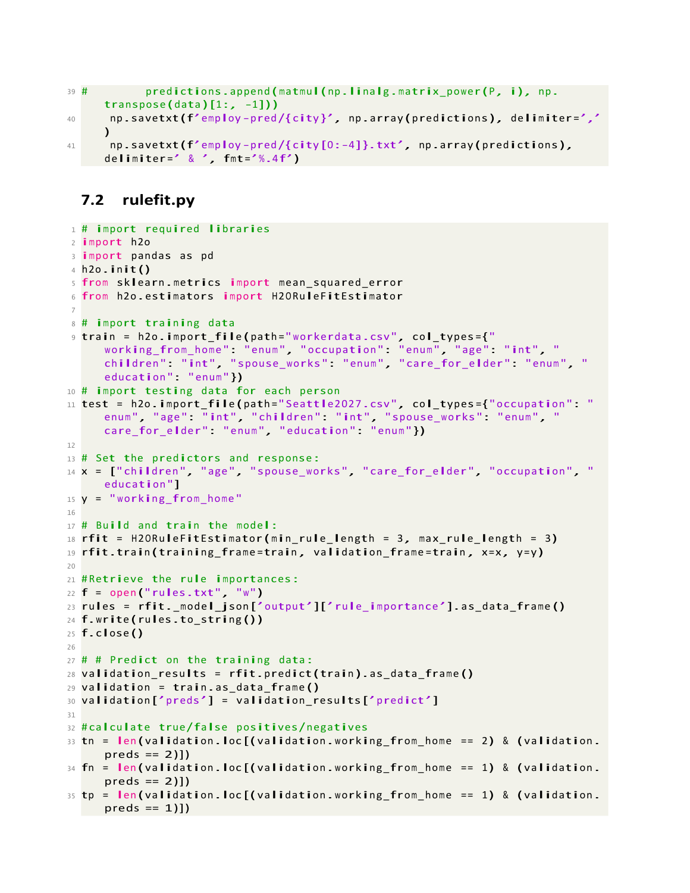```
39 #
40
41
            predictions.append(matmul(np.linalg.matrix power(P, i), np.
     transpose(data)[1:, -1]))
      np .savetxt(f'employ -pred /{ city }', np .array (predictions), delimiter=','
     \lambdanp.savetxt(f'employ-pred/{city[0:-4]}.txt', np.array(predictions),
     delimiter=' & ', fmt=' % . 4 f')
```
### <span id="page-19-0"></span>**7.2 rulefit.py**

```
1 # import required libraries
2 import h2o
3 import pandas as pd
4 h2o.init()
5 from sklearn .metrics import mean_squared_error
6 from h2o.estimators import H2ORuleFitEstimator
 7
8 # import training data
9 train = h2o.import_file (path ="workerdata .csv ", col_types ={" 
     working_from_home ": "enum ", " occupation ": "enum ", "age ": " int ", " 
     children": "int", "spouse_works": "enum", "care_for_elder": "enum", "
     education" "enum"})
10 # import testing data for each person
11 test = h2o.import_file (path =" Seattle2027 .csv ", col_types ={"occupation ": " 
     enum", "age": "int", "children": "int", "spouse_works": "enum", "
     care_for_elder": "enum", "education": "enum"})
12
13 # Set the predictors and response:
14 \times = ["children", "age", "spouse_works", "care_for_elder", "occupation", "
     education "]
15 \text{ y} = "working_from_home"
16
17 # Build and train the model:
18 rfit = H2ORuleFitEstimator(min rule length = 3, max rule length = 3)
19 rfit.train (training frame=train, validation frame=train, x=x, y=y)
20
21 # Retrieve the rule importances:
22 f = open ("rules.txt", "w")
23 rules = rfit._model_json ['output']['rule_importance '].as_data_frame ()
24 f.write (rules.to_string ())
25 f.close()
26
27 # # Predict on the training data:
28 validation_results = rfit.predict(train).as_data_frame()
29 validation = train .as_data_frame ()
30 validation ['preds'] = validation_results['predict']
31
32 # calculate true/false positives/negatives
33 tn = len(validation.loc[(validation.wordation.working from home == 2) & (validation.preds == 2)]34 fn = len(validation.loc[(validation.working_from_home == 1) & (validation.
     preds == 2)]35 tp = len(validation.loc[(validation.working_from_home == 1) & (validation.
     preds == 1]
```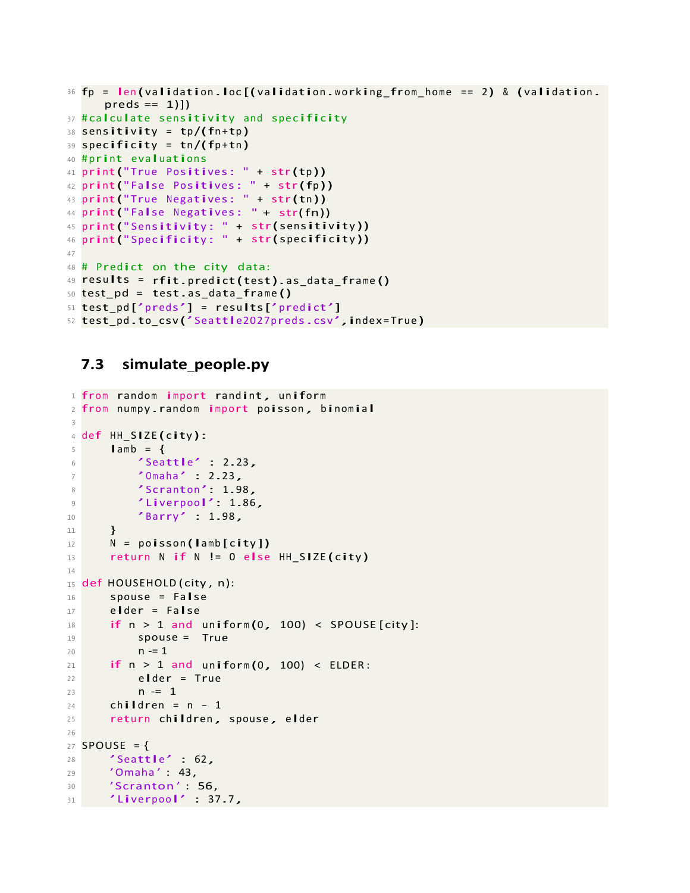```
36
fp = len (validation .loc [( validation .working_from_home == 2) & (validation .
37
# calculate sensitivity and specificity 
38
sensitivity = tp /(fn+tp )
39
specificity = tn /(fp+tn ) 
39 Specificity = tn/(<br>40 <mark>#print evaluations</mark>
41
print("True Positives: " + str(tp )) 
42
print(" False Positives: " + str(fp )) 
42 print("False Positives: " + str(fp))<br>43 print("True Negatives: " + str(tn<mark>))</mark>
44
print(" False Negatives:
" + str(fn))
45
print(" Sensitivity : " +
str(sensitivity ))
46
print(" Specificity : " +
str(specificity ))
47
48
# Predict
on the city data:
48 # Predict on the city data:<br>49 <mark>results = rfit.</mark>predict(test).as_data_frame<mark>()</mark>
50
test_pd =
test.as_data_frame ()
51
test_pd ['preds'] = results['predict']
52
test_pd .to_csv ('Seattle2027preds.csv ',index=True )
       preds == 1)]
```
#### <span id="page-20-0"></span>**7.3 simulate people.py**

```
1
from random import randint, uniform
 1 from random import randint, uniform<br>2 from numpy.random <mark>import</mark> poisson, binomial
3
 _4 def <code>HH_SIZE(city):</code>
5
6
7
8
9
10
11
12
13
14
15 def HOUSEHOLD (city, n):
16
17
18
19
20
21
22
23
24
25
26
27
SPOUSE = {
28
29
30
31
        lamb = \{'Seattle' : 2.23,
             'Omaha' : 2.23,
             'Scranton ': 1.98 ,
             'Liverpool': 1.86 ,
             "Barry" : 1.98,
        }
       N = poisson(lamb[city])
       return N if N != 0 else HH SIZE(city)
       spouse = False 
        elder = False
        elder = False<br><mark>if</mark> n > 1 and uniform(0, 100) < SPOUSE[city]:
             spouse = 
True
             n - 1if n > 1 and
uniform (0 , 100) < ELDER :
             > 1 and un<br>elder = True
             n = 1children = n - 1return children, spouse, elder
       'Seattle' : 62,
        ' Omaha' : 43,
        'Scranton' : 56,
     'Liverpool' : 37.7 ,
```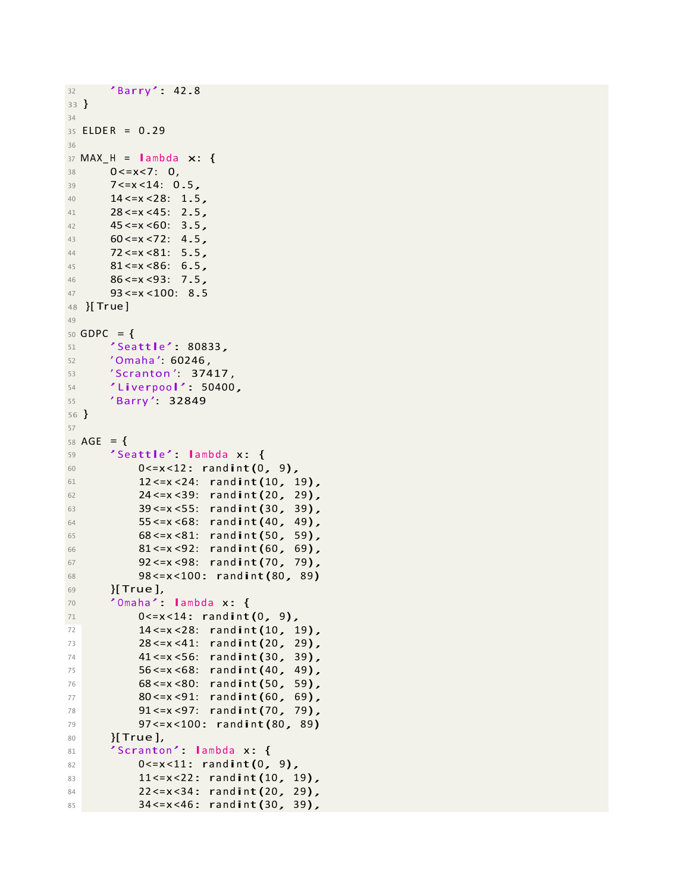```
32
33 }
          "Barry" 42.8
34
<sup>34</sup><br>35 ELDER = 0.29
36
37 \text{ MAX}_H = \text{lambda} \times: \{<br>38 \text{ } 0 \le x \le 7: 0,0 < = x < 7: 0,39 7<=x <14: 0.5,
40 14 < = x < 28: 1.5,<br>41 28 < = x < 45: 2.5.
41 28 <= x < 45: 2.5,<br>42 45 <= x < 60: 3.5.
42 45 < x < 60: 3.5,<br>43 60 < x < 72: 4.543 60 <= x < 72: 4.5,<br>44 72 <= x < 81: 5.5,
44 72 <= x < 81: 5.5,<br>45 81 <= x < 86: 6.5
45 81 \le x \le 86: 6.5,<br>46 86 \le x \le 93: 7.5,
           86 < x < 93: 7.547
48 }[ Tr
ue ]
49
           93 <=x <100:
8.5
50 GDPC = {
51 'Seattle ': 80833 ,
          'Omaha': 60246,
53 'Scranton': 37417,
54 'Liverpool': 50400 ,
55
56 }
          'Barry ': 32849
57
58 \text{AGE} = \{59
           'Seattle': lambda x: {
60 0 \le x \le 12: randint (0, 9),<br>61 12 \le x \le 24: randint (10, 1)61 12 < x < 24: randint (10, 19),<br>
24 < x < 39: randint (20, 29)62 24 <= x < 39: randint (20, 29),<br>
39 <= x < 55: randint (30, 39).
                 63 39 <=x <55: randint(30 , 39),
64 55 <= x < 68: randint (40, 49),<br>65 68 <= x < 81: randint (50, 59),
65 68 <= x < 81: randint (50, 59),<br>66 81 <= x < 92: randint (60, 69),
66 81 <= x < 92: randint (60, 69),<br>67 92 <= x < 98: randint (70, 79),
67 92 <= x < 98: randint (70, 79),<br>68 98 <= x < 100: randint (80, 89)68 98 <= x < 100: randint (80, 89)
           69 }[ True ],
70 'Omaha': lambda x: {<br>71 0 <= x < 14: randint
71 0 \le x \le 14: randint (0, 9),<br>
72 14 \le x \le 28: randint (10, 1)72 14 <= x < 28: randint (10, 19),<br>
73 28 <= x < 41: randint (20. 29).
73 28 <= x < 41: randint (20, 29),<br>
74 41 <= x < 56: randint (30, 39).
74 41 < x < 56: randint(30, 39),<br>75 56 < x < 68: randint(40, 49).
75 56 <= x < 68: randint (40, 49),<br>
76 68 <= x < 80: randint (50, 59),
76 68 <= x < 80: randint (50, 59),<br>
80 <= x < 91: randint (60, 69),
77 80 <= x < 91: randint (60, 69),<br>
78 91 <= x < 97: randint (70, 79),
                 91 <= x < 97: rand int (70, 79),
79
80
81
82
83
84
85
                 97 <=x <100: randint(80 , 89)
           }[ True ],
           'Scranton': lambda x: {
                 0 < = x < 11: randint(0, 9),
                 11 <= x < 22: rand int (10, 19),
                 22 <=x <34: randint(20 , 29),
                 34 <=x <46: randint(30 , 39),
```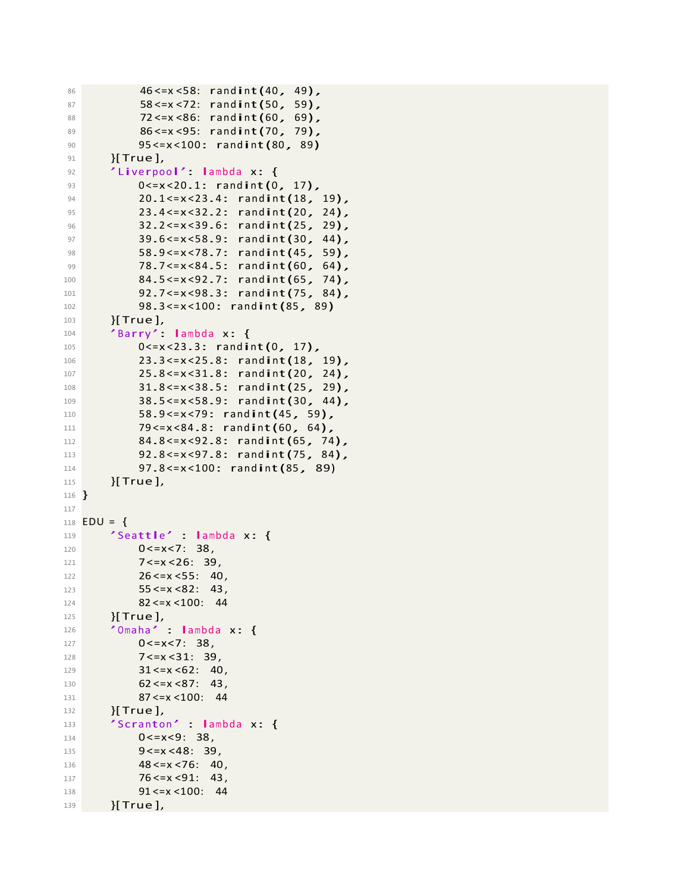```
86 46 <= x < 58: randint (40, 49),<br>87 58 <= x < 72: randint (50, 59).
 87 58 < x < 72: randint(50, 59),<br>88 72 < x < 86: randint(60, 69),
               72 < x < 86: randint(60, 69),
 89 86 <= x < 95: randint (70, 79),
 90
 91
 92
               95 <=x <100: randint(80 , 89)
         }[ True ],
          'Liverpool': lambda x: {
 93 0<=x<20.1: randint(0, 17),<br>
94 20.1 <= x < 23.4: randint(18.
 94 20.1 \leq x \leq 23.4: randint (18, 19),<br>95 23.4 \leq x \leq 32.2: randint (20, 24).
               95 23.4 <=x <32.2: randint(20 , 24),
 96 32.2 <= x < 39.6: randint (25, 29),
 97 39.6 <= x < 58.9: randint (30, 44),<br>
98 58.9 <= x < 78.7: randint (45, 59).
               58.9 <= x < 78.7: rand int (45, 59),
99 78.7 <= x < 84.5: randint (60, 64),<br>100 84.5 <= x < 92.7: randint (65. 74),
               84.5 <= x < 92.7: rand int (65, 74),
101 92.7 <= x < 98.3: randint (75, 84),<br>102 98.3 <= x < 100: randint (85. 89)
102 98.3 <= x < 100: randint (85, 89)
         [True],
104 'Barry ': lambda x: {
               0 < = x < 23.3: randint(0, 17),
106 23.3 <= x < 25.8: randint (18, 19),
107 25.8 <= x < 31.8: randint (20, 24),
108 31.8 <= x < 38.5: randint (25, 29),<br>38 5 <= x < 58 9 · randint (30, 44)
109 38.5 <= x < 58.9: randint (30, 44),<br>110 58.9 <= x < 79: randint (45. 59).
110 58.9 <= x < 79: randint (45, 59),<br>
111 79 <= x < 84.8: randint (60, 64).
111 79 <= x < 84.8: randint (60, 64),<br>112 34.8 <= x < 92.8: randint (65. 74
112 84.8 <= x < 92.8: randint (65, 74),<br>113 92.8 <= x < 97.8: randint (75, 84),
               92.8 <= x < 97.8: randint (75, 84),
114 97.8 <= x < 100: randint (85, 89)<br>115 H True 1.
         115 }[ True ],
116
}
117
118
   EDU = \{119 \checkmark Seattle' : lambda x: {<br>120 0 \le x \le 7 38
               0 < = x < 7: 38121 7 < x < 26: 39,
122 26 <= x < 55: 40,
123 55 <= x <82: 43,
124
125
               82 <=x <100: 44
         }[ True ],
126 'Omaha' : lambda x: {<br>127 0 < = x < 7: 38.
               0 < = x < 7: 38128 7 <= x < 31: 39,
129 31 < x < 62: 40,
130 62 <= x < 87: 43,
131
132
               87 <=x <100: 44
         }[ True ],
133 'Scranton' : lambda x: {<br>0 < = x < 9: 38.
               0 < = x < 9: 38135 9<=x <48: 39,
136 48 < x < 76: 40,
137 76 <= x < 91: 43,
138 91 <= x <100: 44
139 }[True ],
```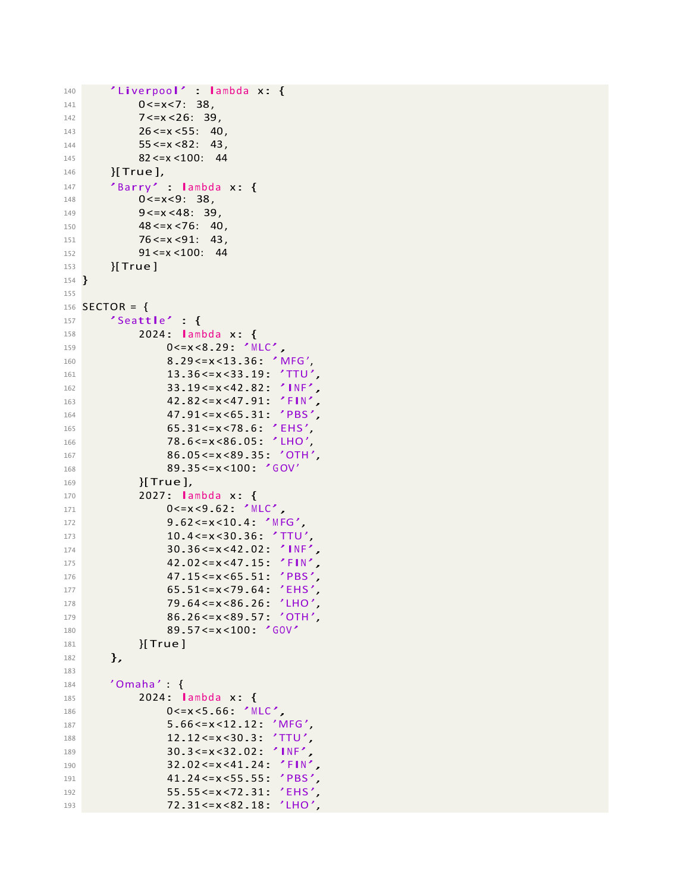```
140 'Liverpool' : lambda x: {<br>141 0 <= x< 7: 38.
              0 < = x < 7: 38,
142 7 <= x < 26: 39,
143 26 <= x < 55: 40
144 55 <= x < 82: 43,
145
146
              82 <=x <100: 44
         }[ True ],
147 'Barry' : lambda x: {<br>148 0<=x<9: 38,
              0 < = x < 9: 38,
149 9<= x <48: 39,
150 48 < x < 76: 40,
151 76 <= x < 91: 43,
152 91 <= x <100: 44
153 }[ True ]
154 }
155
156 SECTOR = {
157 'Seattle' : {<br>158 2024 : lam
158 2024: lambda x: {<br>159 2024: lambda x: {
                    0<=x<8.29: 'MLC',
160 8.29 <= x <13.36: 'MFG',<br>161 13.36 <= x <33.19: 'TTU'
161 13.36 <= x < 33.19: 'TTU',<br>162 13.19 <= x < 42.82: 'INF'.
162 33.19 \le x \le 42.82: 'INF',<br>163 42.82 \le x \le 47.91: 'FIN'.
                    163 42.82 <=x <47.91: 'FIN ',
164 47.91<=x<65.31: 'PBS',
165 65.31 <= x < 78.6: 'EHS',
166 78.6 <= x < 86.05: 'LHO',
167 86.05 <= x <89.35: 'OTH'
168 89.35<=x<100: 'GOV'
169 }[ True ],
170 2027: lambda x: {<br>171 0<=x<9.62: 'M
                    0 <= x < 9.62: 'MLC',
172 9.62<=x<10.4: 'MFG',<br>173 10.4<=x<30.36: 'TTU
173 10.4 <= x < 30.36: 'TTU',<br>30.36 <= x < 42.02. 'TNF'
174 30.36 \le x \le 42.02: 'INF',<br>175 42.02 \le x \le 47.15: 'FIN'.
175 42.02<=x<47.15: 'FIN',<br>176 47.15<=x<65.51: 'PBS',
176 47.15 <= x < 65.51: 'PBS'<br>177 65.51 <= x < 79.64: 'EHS'
177 65.51<=x<79.64: 'EHS'<br>178 79.64<=x<86.26: 'LHO'
                    178 79.64 <=x <86.26: 'LHO ',
179 86.26 <= x <89.57: 'OTH',<br>
180 89.57 <= x <100: 'GOV'
180 89.57<=x<100: 'GOV'<br>181 181 IFTUe 1
              [True]182 },
183
184 'Omaha' : {
185 2024: lambda x: {<br>186 0 2024: lambda x: {
                    0 < = x < 5.66: 'MLC',
187 5.66 <= x < 12.12: 'MFG',<br>188 12.12 <= x < 30.3: 'TTU',
                    188 12.12 <=x <30.3: 'TTU ',
189 30.3 <= x < 32.02: 'INF',<br>32.02 <= x < 41.24: 'FIN'
190 32.02 <= x < 41.24: 'FIN',<br>41.24 <= x < 55.55: 'PBS'.
191 41.24 <= x < 55.55: 'PBS'<br>192 55.55 <= x < 72.31: 'EHS'
192 55.55<=x<72.31: 'EHS',<br>193 72.31<=x<82.18: 'LHO',
                    193 72.31 <=x <82.18: 'LHO ',
```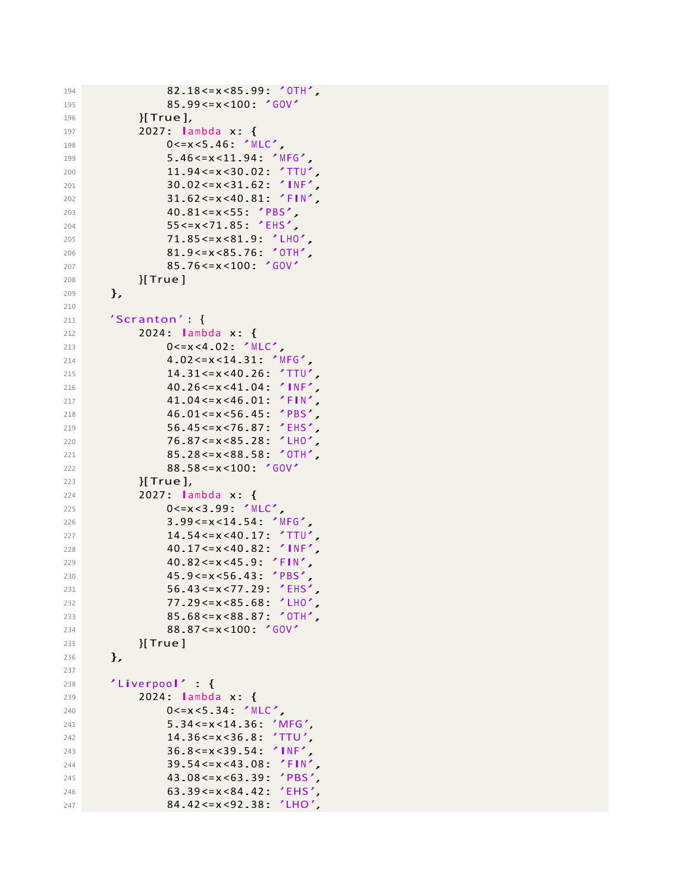```
194 82.18 <= x < 85.99: 'OTH',
195 85.99<=x<100: 'GOV'
196 }[True ],
197 2027: lambda x: {<br>198 2027: lambda x: {
                  0 <= x < 5.46: 'MLC',
199 5.46 <= x < 11.94: 'MFG',
200 11.94 <=x <30.02: 'TTU ',
201 30.02 <= x < 31.62: 'INF'
202 31.62 <=x <40.81: 'FIN ',
203 40.81<=x<55: 'PBS',
204 55 <=x <71.85: 'EHS ',
205 71.85 <= x < 81.9: 'LHO',<br>206 81.9 <= x < 85.76: 'OTH'.
                  81.9 <= x < 85.76: 'OTH',
207 85.76 <= x < 100: 'GOV'<br>208 H True ]
             {}_{2}[ True ]209 },
210
211 'Scranton' {
212 2024: lambda x: {<br>213 2024: lambda x: {
                  0 < = x < 4.02: 'MLC',
214 4.02 <=x <14.31: 'MFG ',
215 216 26 < x < 40.26; 'TTU',<br>216 40.26 < x < 41.04; 'INF',
216 40.26 \le x \le 41.04: 'INF'<br>217 41.04 \le x \le 46.01: 'FIN'
217 41.04 <= x < 46.01: 'FIN',<br>218 46.01 <= x < 56.45: 'PBS'.
218 46.01 <= x < 56.45: 'PBS',<br>219 56.45 <= x < 76.87: 'FHS'.
                  56.45 <= x < 76.87: 'EHS'
220 76.87<=x<85.28: 'LHO',<br>221 85.28<=x<88.58: 'OTH',
                  221 85.28 <=x <88.58: 'OTH ',
222 88.58<=x<100: 'GOV'<br>223 H True 1.
             {}[ True ],
224 2027: lambda x: {<br>225 225 0<= x<3.99: <sup>7</sup> M
                  0<=x<3.99: 'MLC',
226 3.99 <=x <14.54: 'MFG ',
227 14.54<=x<40.17: 'TTU'
228 40.17 <= x < 40.82 : 'INF',<br>229 40.82 <= x < 45.9 : 'FIN',
                  229 40.82 <=x <45.9: 'FIN ',
230 45.9 <= x < 56.43: 'PBS'<br>231 56.43 <= x < 77.29: 'EHS
                  56.43<=x<77.29: 'EHS'
232 77.29 <= x < 85.68: 'LHO',<br>233 85.68 <= x < 88.87: 'OTH',
233 85.68 <= x <88.87: 'OTH',<br>
234 88.87 <= x <100: 'GOV'
234 88.87<=x<100: 'GOV'<br>235 H True 1
             235 }[ True ]
236 },
237
238 'Liverpool' : {
239 2024: lambda x: {<br>240 2024: lambda x: {
                  0 < = x < 5.34: 'MLC',
241 5.34 <= x < 14.36: 'MFG',
242 14.36 <=x <36.8: 'TTU ',
243 36.8 <=x <39.54: 'INF ',
244 39.54 \leq x \leq 43.08: 'FIN',
245 43.08 <= x <63.39: 'PBS',<br>246 63.39 <= x <84.42: 'EHS'
246 63.39 \times = x \times 84.42: 'EHS'<br>
247 84.42 \times 28 \times 1HO'
                  84.42 <= x < 92.38: 'LHO',
```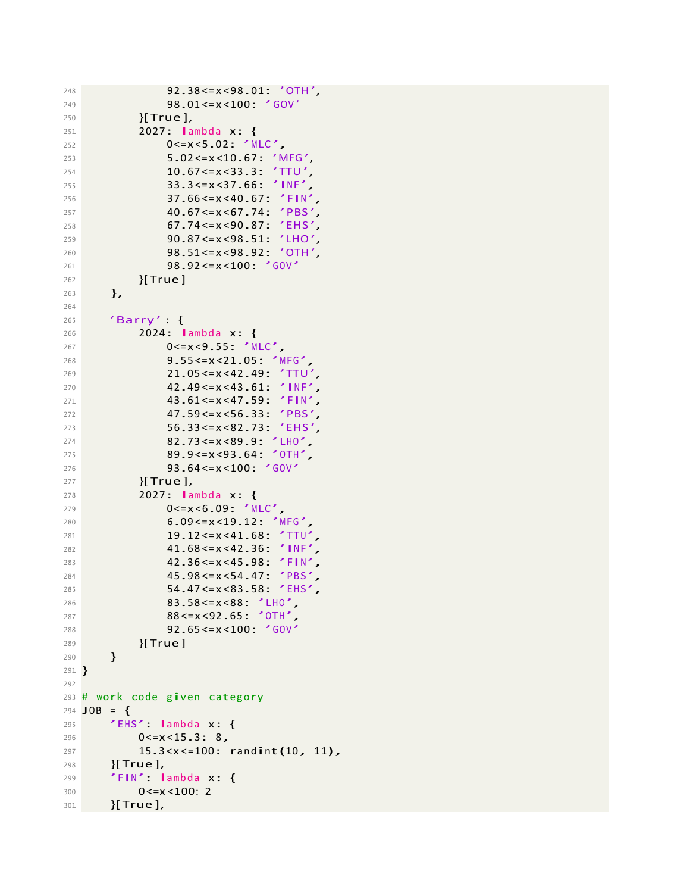```
248 92.38 <= x < 98.01: 'OTH',<br>249 98.01 <= x < 100: 'GOV'
                    98.01 <= x < 100: 'GOV'
250 }[ True ],
251 2027: lambda x: {
                   0 <= x < 5.02: 'MLC',
253 5.02 <=x <10.67: 'MFG ',
254 10.67 <=x <33.3: 'TTU ',
255 33.3 <=x <37.66: 'INF ',
256 37.66 <=x <40.67: 'FIN ',
257 40.67<=x<67.74: 'PBS',<br>258 40.74<=x<90.87: 'EHS'
258 67.74<=x<90.87: 'EHS'<br>259 90.87<=x<98.51: 'IHO'
259 90.87<=x<98.51: 'LHO',<br>260 98.51<=x<98.92: 'OTH'
                    260 98.51 <=x <98.92: 'OTH ',
261 98.92<=x<100: 'GOV'<br>
{|True }
              {}_{2}[ True ]263 },
264
265 'Barry ' : {
266 2024: lambda x: {<br>267 2024: lambda x: {
                    0 <= x < 9.55: 'MLC',
268 9.55 <=x <21.05: 'MFG ',
269 21.05 <= x < 42.49: 'TTU',<br>270 22.49 <= x < 43.61: 'INF'
270 42.49 \le x \le 43.61: 'INF',<br>271 43.61 \le x \le 47.59 'FIN'
271 43.61<=x<47.59: 'FIN',<br>272 47.59<=x<56.33: 'PBS'.
272 47.59 <= x < 56.33: 'PBS',<br>273 56.33 <= x < 82.73: 'EHS',
                    273 56.33 <=x <82.73: 'EHS ',
274 82.73<=x<89.9: 'LHO',<br>275 89.9<=x<93.64: 'OTH',
                    89.9 < x < 93.64: 'OTH',
276 93.64<=x<100: 'GOV'<br>277 11 11 12 1.
              {}[True],
278 2027: lambda x: {<br>279 2027: 0<= x<6.09: 'M
                   0 < = x < 6.09: 'MLC',
280 6.09 <=x <19.12: 'MFG ',
281 19.12 <= x <41.68: 'TTU'
282 41.68 <= x < 42.36: 'INF',<br>
283 42.36 <= x < 45.98: 'FIN',
                    283 42.36 <=x <45.98: 'FIN ',
284 45.98 <= x < 54.47: 'PBS',<br>285 54.47 <= x < 83.58: 'EHS',
                    54.47 <= x < 83.58: 'EHS',
286 83.58 <= x <88: 'LHO',<br>287 88 <= x <92.65: 'OTH'.
287 88 <= x < 92 .65: 'OTH',<br>
288 92 .65 <= x < 100: 'GOV'
288 92.65 <=x <100: 'GOV '
              289 }[ True ]
290 }
291 }
292
293 # work code given category<br>294 JOB = \{JOB = {
295 'EHS': lambda x: {<br>296 0<= x < 15.3: 8,
              0 < = x < 15.3: 8,
297 15.3 < x <= 100: randint(10, 11),<br>
298 }[True],
         298 }[ True ],
299 'FIN': lambda x: {<br>300 0 <= x < 100: 2
              0 < = x < 100: 2
301 }[True ],
```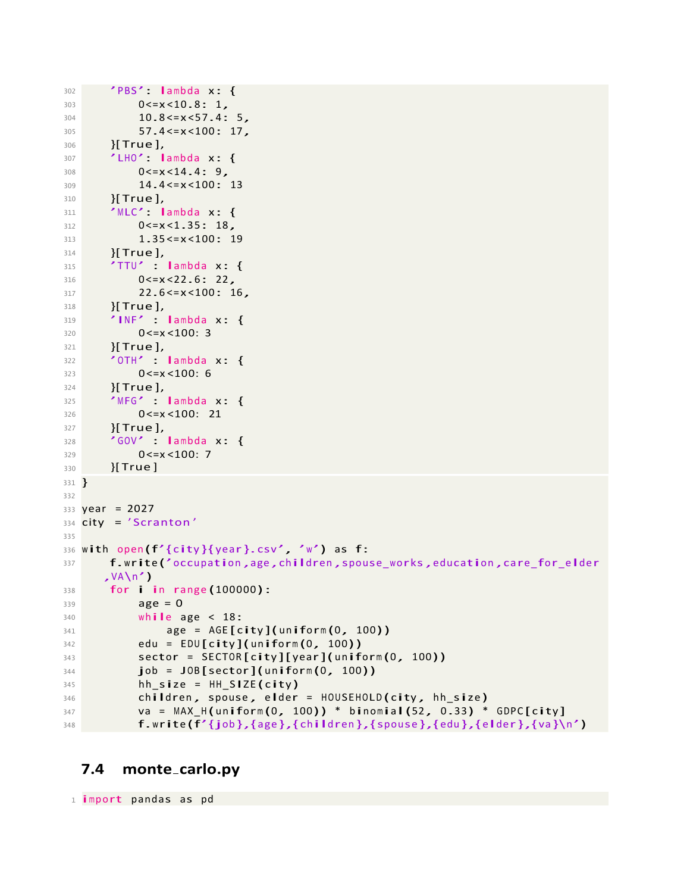```
302 'PBS': lambda x: {<br>303 0 <= x < 10.8: 1.
             0 < = x < 10.8: 1,
304 10.8 <= x < 57.4: 5,
305 57.4 <= x < 100: 17,
306 }[ True ],
307 'LHO': lambda x: {<br>308 0<=x<14.4: 9.
             0 < x < 14.4: 9,
309 14.4 <=x <100: 13
310 }[ True ],
311 'MLC': lambda x: {<br>312 0<=x<1.35: 18.
312 0 < = x < 1.35: 18,<br>313 1.35 < = x < 100: 1
313 1.35 <= x < 100: 19<br>314 1 True 1.
        [True],
315 'TTU' : lambda x: {<br>316 0 <= x < 22.6 : 22,
             0 < = x < 22.6: 22,
317 22.6 <= x < 100: 16,
318 }[True],
319 'INF' : lambda x: {<br>320 0 < = x < 100: 3
             0 < = x < 100: 3321 }[True],
322 'OTH' : lambda x: {<br>323 0 < = x < 100: 6
             0 < = x < 100: 6324 }[ True ],
325 'MFG' : lambda x: {<br>326 0 <= x < 100: 21
             0 <= x < 100: 21
327 }[True],
328 'GOV' : lambda x: {<br>329 0 < = x < 100: 7
             0 < = x < 100: 7330 }[ True ]
331
332
333
334
335
336
337
338
339
340
341
342
343
344
345
346
347
348
   }
   year = 2027city = ' Scranton '
   with open (f'_{\text{city}}\ (year \}.csv', 'w') as f:
        f.write ('occupation ,age ,children ,spouse_works,education ,care_for_elder
       , V_A\n')
        for i in range (100000): 
             age = 0while age < 18:
                   age = AGE[city](uniform(0, 100))
             edu = EDU[city](uniform(0, 100))sector = SECTION[city][year](uniform(0, 100))job = JOB[sector](uniform(0, 100))hh size = HH SIZE (city)
             children, spouse, elder = HOUSEHOLD(city, hh size)
             va = MAX_H(uniform(0, 100)) * binomial(52, 0.33) * GDPC[city]
             f.write (f'{job },{age },{ children },{spouse },{edu },{elder},{va }\n ')
```
#### <span id="page-26-0"></span>**7.4 monte carlo.py**

<sup>1</sup>import pandas as pd